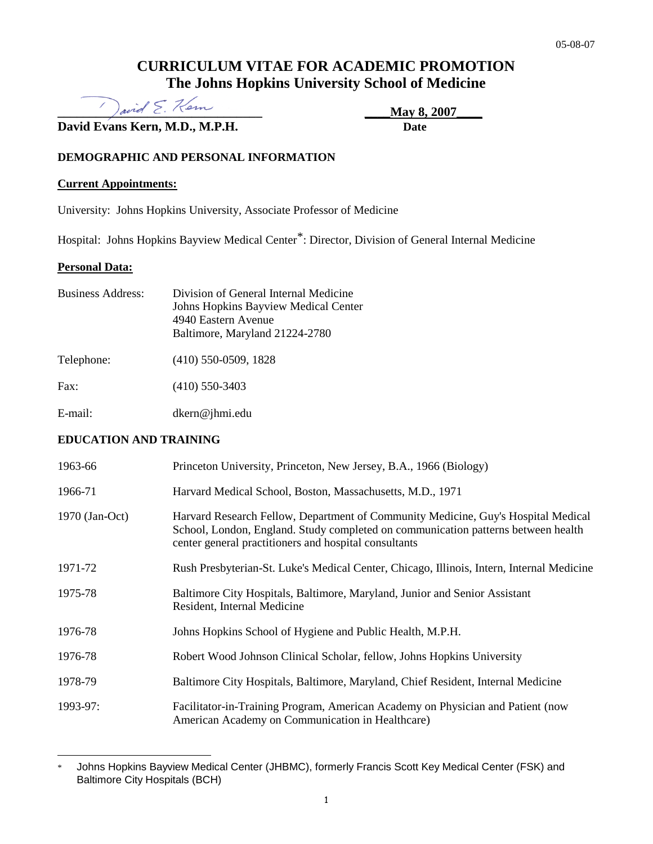## **CURRICULUM VITAE FOR ACADEMIC PROMOTION The Johns Hopkins University School of Medicine**

 $\sum_{\alpha} \frac{1}{2}$  and  $\sum_{\alpha} \frac{1}{2}$   $\sum_{\alpha} \frac{1}{2}$   $\sum_{\alpha} \frac{1}{2}$   $\sum_{\alpha} \frac{1}{2}$   $\sum_{\alpha} \frac{1}{2}$   $\sum_{\alpha} \frac{1}{2}$   $\sum_{\alpha} \frac{1}{2}$   $\sum_{\alpha} \frac{1}{2}$   $\sum_{\alpha} \frac{1}{2}$   $\sum_{\alpha} \frac{1}{2}$   $\sum_{\alpha} \frac{1}{2}$   $\sum_{\alpha} \frac{1}{2}$   $\sum_{\alpha} \frac$ 

**David Evans Kern, M.D., M.P.H. Date** 

## **DEMOGRAPHIC AND PERSONAL INFORMATION**

#### **Current Appointments:**

University: Johns Hopkins University, Associate Professor of Medicine

Hospital: Johns Hopkins Bayview Medical Center\* : Director, Division of General Internal Medicine

#### **Personal Data:**

| <b>Business Address:</b> | Division of General Internal Medicine<br>Johns Hopkins Bayview Medical Center<br>4940 Eastern Avenue<br>Baltimore, Maryland 21224-2780 |
|--------------------------|----------------------------------------------------------------------------------------------------------------------------------------|
| Telephone:               | $(410)$ 550-0509, 1828                                                                                                                 |
| Fax:                     | $(410)$ 550-3403                                                                                                                       |

E-mail: [dkern@jhmi.edu](mailto:kernde@welchlink.welch.jhu.edu) 

## **EDUCATION AND TRAINING**

| 1963-66        | Princeton University, Princeton, New Jersey, B.A., 1966 (Biology)                                                                                                                                                               |
|----------------|---------------------------------------------------------------------------------------------------------------------------------------------------------------------------------------------------------------------------------|
| 1966-71        | Harvard Medical School, Boston, Massachusetts, M.D., 1971                                                                                                                                                                       |
| 1970 (Jan-Oct) | Harvard Research Fellow, Department of Community Medicine, Guy's Hospital Medical<br>School, London, England. Study completed on communication patterns between health<br>center general practitioners and hospital consultants |
| 1971-72        | Rush Presbyterian-St. Luke's Medical Center, Chicago, Illinois, Intern, Internal Medicine                                                                                                                                       |
| 1975-78        | Baltimore City Hospitals, Baltimore, Maryland, Junior and Senior Assistant<br>Resident, Internal Medicine                                                                                                                       |
| 1976-78        | Johns Hopkins School of Hygiene and Public Health, M.P.H.                                                                                                                                                                       |
| 1976-78        | Robert Wood Johnson Clinical Scholar, fellow, Johns Hopkins University                                                                                                                                                          |
| 1978-79        | Baltimore City Hospitals, Baltimore, Maryland, Chief Resident, Internal Medicine                                                                                                                                                |
| 1993-97:       | Facilitator-in-Training Program, American Academy on Physician and Patient (now<br>American Academy on Communication in Healthcare)                                                                                             |

 $\overline{a}$ Johns Hopkins Bayview Medical Center (JHBMC), formerly Francis Scott Key Medical Center (FSK) and Baltimore City Hospitals (BCH)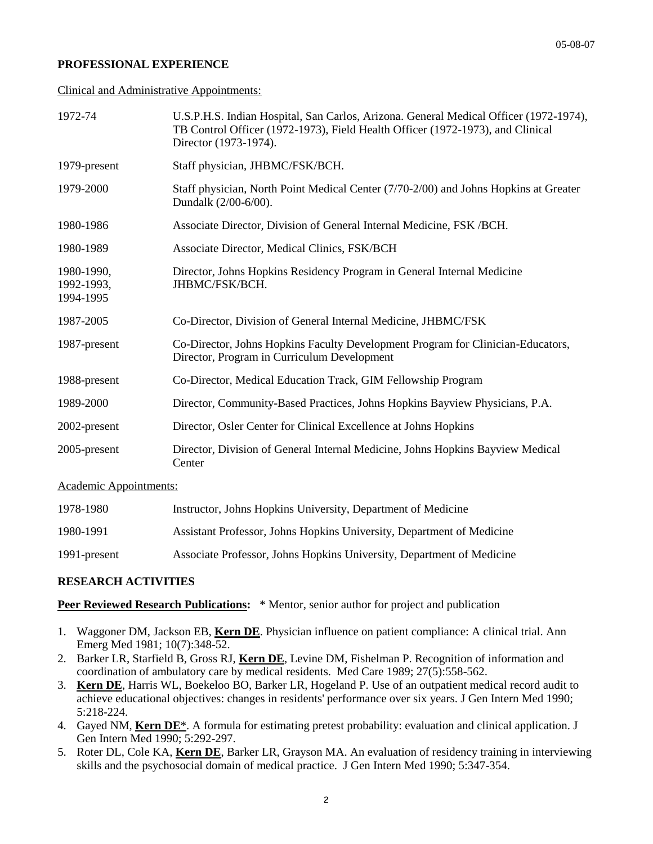#### **PROFESSIONAL EXPERIENCE**

Clinical and Administrative Appointments:

| 1972-74                               | U.S.P.H.S. Indian Hospital, San Carlos, Arizona. General Medical Officer (1972-1974),<br>TB Control Officer (1972-1973), Field Health Officer (1972-1973), and Clinical<br>Director (1973-1974). |
|---------------------------------------|--------------------------------------------------------------------------------------------------------------------------------------------------------------------------------------------------|
| 1979-present                          | Staff physician, JHBMC/FSK/BCH.                                                                                                                                                                  |
| 1979-2000                             | Staff physician, North Point Medical Center (7/70-2/00) and Johns Hopkins at Greater<br>Dundalk (2/00-6/00).                                                                                     |
| 1980-1986                             | Associate Director, Division of General Internal Medicine, FSK / BCH.                                                                                                                            |
| 1980-1989                             | Associate Director, Medical Clinics, FSK/BCH                                                                                                                                                     |
| 1980-1990,<br>1992-1993,<br>1994-1995 | Director, Johns Hopkins Residency Program in General Internal Medicine<br>JHBMC/FSK/BCH.                                                                                                         |
| 1987-2005                             | Co-Director, Division of General Internal Medicine, JHBMC/FSK                                                                                                                                    |
| 1987-present                          | Co-Director, Johns Hopkins Faculty Development Program for Clinician-Educators,<br>Director, Program in Curriculum Development                                                                   |
| 1988-present                          | Co-Director, Medical Education Track, GIM Fellowship Program                                                                                                                                     |
| 1989-2000                             | Director, Community-Based Practices, Johns Hopkins Bayview Physicians, P.A.                                                                                                                      |
| 2002-present                          | Director, Osler Center for Clinical Excellence at Johns Hopkins                                                                                                                                  |
| 2005-present                          | Director, Division of General Internal Medicine, Johns Hopkins Bayview Medical<br>Center                                                                                                         |
|                                       |                                                                                                                                                                                                  |

Academic Appointments:

| 1978-1980    | Instructor, Johns Hopkins University, Department of Medicine          |
|--------------|-----------------------------------------------------------------------|
| 1980-1991    | Assistant Professor, Johns Hopkins University, Department of Medicine |
| 1991-present | Associate Professor, Johns Hopkins University, Department of Medicine |

#### **RESEARCH ACTIVITIES**

**Peer Reviewed Research Publications:** \* Mentor, senior author for project and publication

- 1. Waggoner DM, Jackson EB, **Kern DE**. Physician influence on patient compliance: A clinical trial. Ann Emerg Med 1981; 10(7):348-52.
- 2. Barker LR, Starfield B, Gross RJ, **Kern DE**, Levine DM, Fishelman P. Recognition of information and coordination of ambulatory care by medical residents. Med Care 1989; 27(5):558-562.
- 3. **Kern DE**, Harris WL, Boekeloo BO, Barker LR, Hogeland P. Use of an outpatient medical record audit to achieve educational objectives: changes in residents' performance over six years. J Gen Intern Med 1990; 5:218-224.
- 4. Gayed NM, **Kern DE**\*. A formula for estimating pretest probability: evaluation and clinical application. J Gen Intern Med 1990; 5:292-297.
- 5. Roter DL, Cole KA, **Kern DE**, Barker LR, Grayson MA. An evaluation of residency training in interviewing skills and the psychosocial domain of medical practice. J Gen Intern Med 1990; 5:347-354.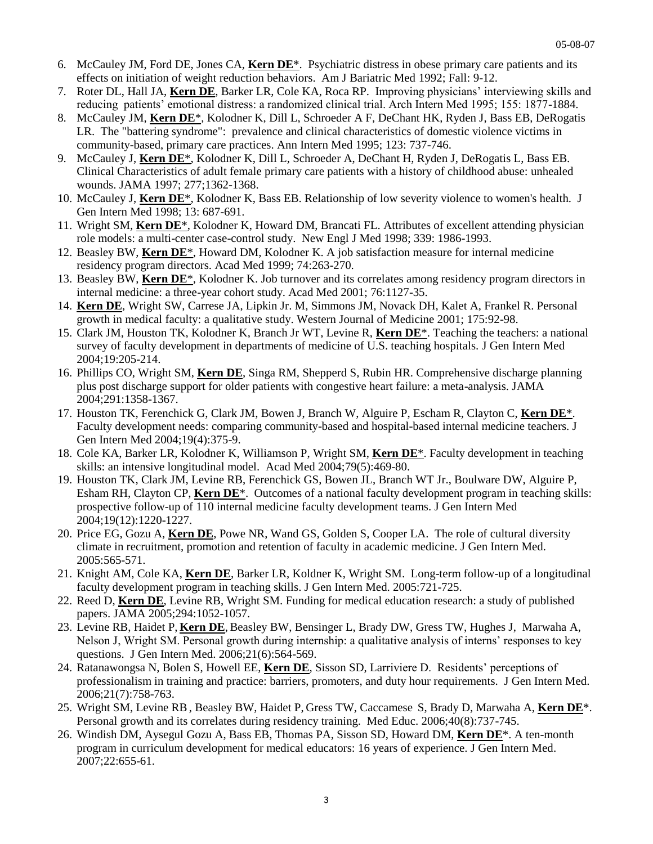- 6. McCauley JM, Ford DE, Jones CA, **Kern DE**\*. Psychiatric distress in obese primary care patients and its effects on initiation of weight reduction behaviors. Am J Bariatric Med 1992; Fall: 9-12.
- 7. Roter DL, Hall JA, **Kern DE**, Barker LR, Cole KA, Roca RP. Improving physicians' interviewing skills and reducing patients' emotional distress: a randomized clinical trial. Arch Intern Med 1995; 155: 1877-1884.
- 8. McCauley JM, **Kern DE**\*, Kolodner K, Dill L, Schroeder A F, DeChant HK, Ryden J, Bass EB, DeRogatis LR. The "battering syndrome": prevalence and clinical characteristics of domestic violence victims in community-based, primary care practices. Ann Intern Med 1995; 123: 737-746.
- 9. McCauley J, **Kern DE**\*, Kolodner K, Dill L, Schroeder A, DeChant H, Ryden J, DeRogatis L, Bass EB. Clinical Characteristics of adult female primary care patients with a history of childhood abuse: unhealed wounds. JAMA 1997; 277;1362-1368.
- 10. McCauley J, **Kern DE**\*, Kolodner K, Bass EB. Relationship of low severity violence to women's health. J Gen Intern Med 1998; 13: 687-691.
- 11. Wright SM, **Kern DE**\*, Kolodner K, Howard DM, Brancati FL. Attributes of excellent attending physician role models: a multi-center case-control study. New Engl J Med 1998; 339: 1986-1993.
- 12. Beasley BW, **Kern DE**\*, Howard DM, Kolodner K. A job satisfaction measure for internal medicine residency program directors. Acad Med 1999; 74:263-270.
- 13. Beasley BW, **Kern DE**\*, Kolodner K. Job turnover and its correlates among residency program directors in internal medicine: a three-year cohort study. Acad Med 2001; 76:1127-35.
- 14. **Kern DE**, Wright SW, Carrese JA, Lipkin Jr. M, Simmons JM, Novack DH, Kalet A, Frankel R. Personal growth in medical faculty: a qualitative study. Western Journal of Medicine 2001; 175:92-98.
- 15. Clark JM, Houston TK, Kolodner K, Branch Jr WT, Levine R, **Kern DE**\*. Teaching the teachers: a national survey of faculty development in departments of medicine of U.S. teaching hospitals. J Gen Intern Med 2004;19:205-214.
- 16. Phillips CO, Wright SM, **Kern DE**, Singa RM, Shepperd S, Rubin HR. Comprehensive discharge planning plus post discharge support for older patients with congestive heart failure: a meta-analysis. JAMA 2004;291:1358-1367.
- 17. Houston TK, Ferenchick G, Clark JM, Bowen J, Branch W, Alguire P, Escham R, Clayton C, **Kern DE**\*. Faculty development needs: comparing community-based and hospital-based internal medicine teachers. J Gen Intern Med 2004;19(4):375-9.
- 18. Cole KA, Barker LR, Kolodner K, Williamson P, Wright SM, **Kern DE**\*. Faculty development in teaching skills: an intensive longitudinal model. Acad Med 2004;79(5):469-80.
- 19. Houston TK, Clark JM, Levine RB, Ferenchick GS, Bowen JL, Branch WT Jr., Boulware DW, Alguire P, Esham RH, Clayton CP, **Kern DE**\*. Outcomes of a national faculty development program in teaching skills: prospective follow-up of 110 internal medicine faculty development teams. J Gen Intern Med 2004;19(12):1220-1227.
- 20. Price EG, Gozu A, **Kern DE**, Powe NR, Wand GS, Golden S, Cooper LA. The role of cultural diversity climate in recruitment, promotion and retention of faculty in academic medicine. J Gen Intern Med. 2005:565-571.
- 21. Knight AM, Cole KA, **Kern DE**, Barker LR, Koldner K, Wright SM. Long-term follow-up of a longitudinal faculty development program in teaching skills. J Gen Intern Med. 2005:721-725.
- 22. Reed D, **Kern DE**, Levine RB, Wright SM. Funding for medical education research: a study of published papers. JAMA 2005;294:1052-1057.
- 23. Levine RB, Haidet P, Kern DE, Beasley BW, Bensinger L, Brady DW, Gress TW, Hughes J, Marwaha A, Nelson J, Wright SM. Personal growth during internship: a qualitative analysis of interns' responses to key questions. J Gen Intern Med. 2006;21(6):564-569.
- 24. Ratanawongsa N, Bolen S, Howell EE, **Kern DE**, Sisson SD, Larriviere D. Residents' perceptions of professionalism in training and practice: barriers, promoters, and duty hour requirements. J Gen Intern Med. 2006;21(7):758-763.
- 25. Wright SM, Levine RB, Beasley BW, Haidet P, Gress TW, Caccamese S, Brady D, Marwaha A, **Kern DE**\*. Personal growth and its correlates during residency training. Med Educ. 2006;40(8):737-745.
- 26. Windish DM, Aysegul Gozu A, Bass EB, Thomas PA, Sisson SD, Howard DM, **Kern DE**\*. A ten-month program in curriculum development for medical educators: 16 years of experience. J Gen Intern Med. 2007;22:655-61.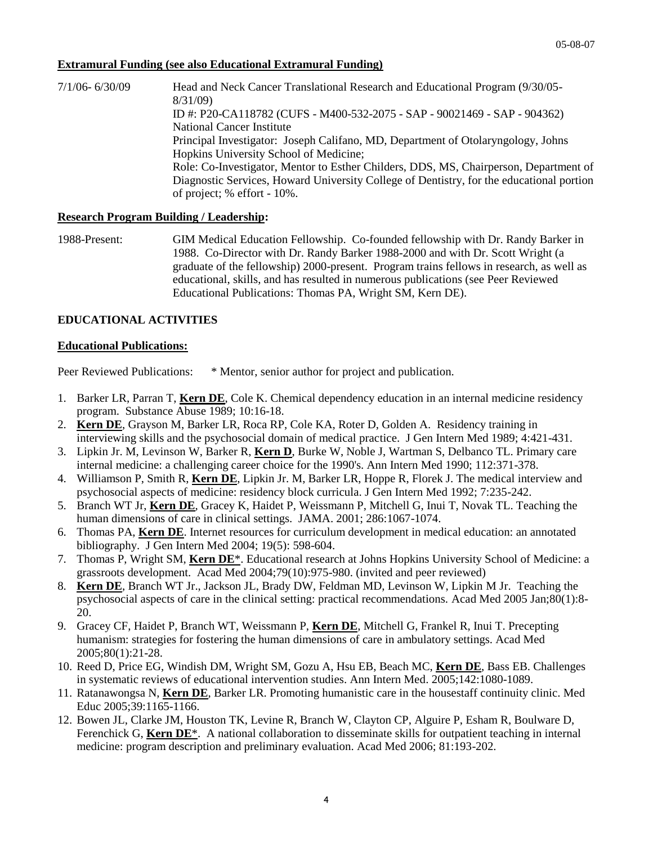#### **Extramural Funding (see also Educational Extramural Funding)**

7/1/06- 6/30/09 Head and Neck Cancer Translational Research and Educational Program (9/30/05- 8/31/09) ID #: P20-CA118782 (CUFS - M400-532-2075 - SAP - 90021469 - SAP - 904362) National Cancer Institute Principal Investigator: Joseph Califano, MD, Department of Otolaryngology, Johns Hopkins University School of Medicine; Role: Co-Investigator, Mentor to Esther Childers, DDS, MS, Chairperson, Department of Diagnostic Services, Howard University College of Dentistry, for the educational portion of project; % effort - 10%.

#### **Research Program Building / Leadership:**

1988-Present: GIM Medical Education Fellowship. Co-founded fellowship with Dr. Randy Barker in 1988. Co-Director with Dr. Randy Barker 1988-2000 and with Dr. Scott Wright (a graduate of the fellowship) 2000-present. Program trains fellows in research, as well as educational, skills, and has resulted in numerous publications (see Peer Reviewed Educational Publications: Thomas PA, Wright SM, Kern DE).

## **EDUCATIONAL ACTIVITIES**

#### **Educational Publications:**

Peer Reviewed Publications: \* Mentor, senior author for project and publication.

- 1. Barker LR, Parran T, **Kern DE**, Cole K. Chemical dependency education in an internal medicine residency program. Substance Abuse 1989; 10:16-18.
- 2. **Kern DE**, Grayson M, Barker LR, Roca RP, Cole KA, Roter D, Golden A. Residency training in interviewing skills and the psychosocial domain of medical practice. J Gen Intern Med 1989; 4:421-431.
- 3. Lipkin Jr. M, Levinson W, Barker R, **Kern D**, Burke W, Noble J, Wartman S, Delbanco TL. Primary care internal medicine: a challenging career choice for the 1990's. Ann Intern Med 1990; 112:371-378.
- 4. Williamson P, Smith R, **Kern DE**, Lipkin Jr. M, Barker LR, Hoppe R, Florek J. The medical interview and psychosocial aspects of medicine: residency block curricula. J Gen Intern Med 1992; 7:235-242.
- 5. Branch WT Jr, **Kern DE**, Gracey K, Haidet P, Weissmann P, Mitchell G, Inui T, Novak TL. Teaching the human dimensions of care in clinical settings. JAMA. 2001; 286:1067-1074.
- 6. Thomas PA, **Kern DE**. Internet resources for curriculum development in medical education: an annotated bibliography. J Gen Intern Med 2004; 19(5): 598-604.
- 7. Thomas P, Wright SM, **Kern DE**\*. Educational research at Johns Hopkins University School of Medicine: a grassroots development. Acad Med 2004;79(10):975-980. (invited and peer reviewed)
- 8. **Kern DE**, Branch WT Jr., Jackson JL, Brady DW, Feldman MD, Levinson W, Lipkin M Jr. Teaching the psychosocial aspects of care in the clinical setting: practical recommendations. Acad Med 2005 Jan;80(1):8- 20.
- 9. Gracey CF, Haidet P, Branch WT, Weissmann P, **Kern DE**, Mitchell G, Frankel R, Inui T. Precepting humanism: strategies for fostering the human dimensions of care in ambulatory settings. Acad Med 2005;80(1):21-28.
- 10. Reed D, Price EG, Windish DM, Wright SM, Gozu A, Hsu EB, Beach MC, **Kern DE**, Bass EB. Challenges in systematic reviews of educational intervention studies. Ann Intern Med. 2005;142:1080-1089.
- 11. Ratanawongsa N, **Kern DE**, Barker LR. Promoting humanistic care in the housestaff continuity clinic. Med Educ 2005;39:1165-1166.
- 12. Bowen JL, Clarke JM, Houston TK, Levine R, Branch W, Clayton CP, Alguire P, Esham R, Boulware D, Ferenchick G, **Kern DE**\*. A national collaboration to disseminate skills for outpatient teaching in internal medicine: program description and preliminary evaluation. Acad Med 2006; 81:193-202.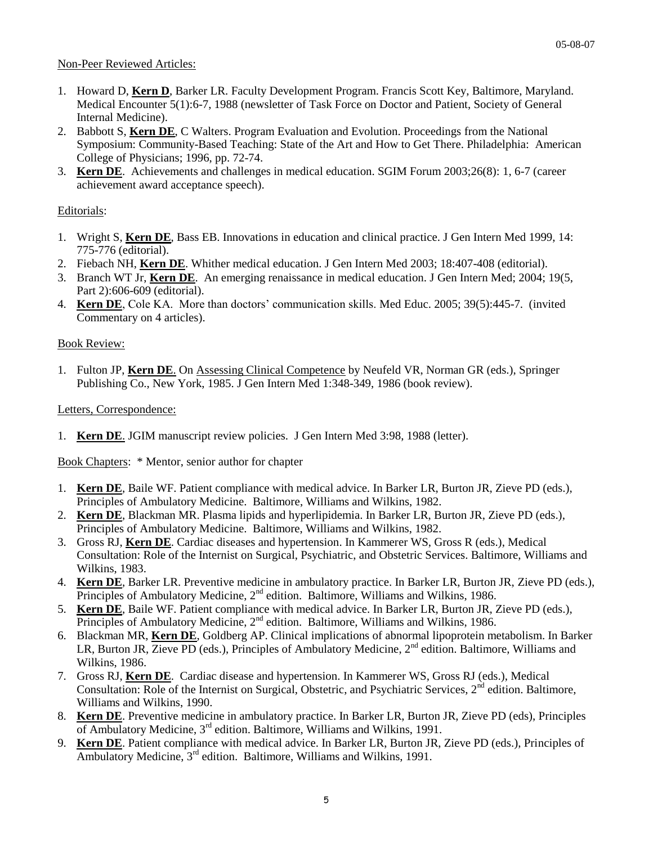#### Non-Peer Reviewed Articles:

- 1. Howard D, **Kern D**, Barker LR. Faculty Development Program. Francis Scott Key, Baltimore, Maryland. Medical Encounter 5(1):6-7, 1988 (newsletter of Task Force on Doctor and Patient, Society of General Internal Medicine).
- 2. Babbott S, **Kern DE**, C Walters. Program Evaluation and Evolution. Proceedings from the National Symposium: Community-Based Teaching: State of the Art and How to Get There. Philadelphia: American College of Physicians; 1996, pp. 72-74.
- 3. **Kern DE**. Achievements and challenges in medical education. SGIM Forum 2003;26(8): 1, 6-7 (career achievement award acceptance speech).

#### Editorials:

- 1. Wright S, **Kern DE**, Bass EB. Innovations in education and clinical practice. J Gen Intern Med 1999, 14: 775-776 (editorial).
- 2. Fiebach NH, **Kern DE**. Whither medical education. J Gen Intern Med 2003; 18:407-408 (editorial).
- 3. Branch WT Jr, **Kern DE**. An emerging renaissance in medical education. J Gen Intern Med; 2004; 19(5, Part 2):606-609 (editorial).
- 4. **Kern DE**, Cole KA. More than doctors' communication skills. Med Educ. 2005; 39(5):445-7. (invited Commentary on 4 articles).

#### Book Review:

1. Fulton JP, **Kern DE**. On Assessing Clinical Competence by Neufeld VR, Norman GR (eds.), Springer Publishing Co., New York, 1985. J Gen Intern Med 1:348-349, 1986 (book review).

#### Letters, Correspondence:

1. **Kern DE**. JGIM manuscript review policies. J Gen Intern Med 3:98, 1988 (letter).

Book Chapters: \* Mentor, senior author for chapter

- 1. **Kern DE**, Baile WF. Patient compliance with medical advice. In Barker LR, Burton JR, Zieve PD (eds.), Principles of Ambulatory Medicine. Baltimore, Williams and Wilkins, 1982.
- 2. **Kern DE**, Blackman MR. Plasma lipids and hyperlipidemia. In Barker LR, Burton JR, Zieve PD (eds.), Principles of Ambulatory Medicine. Baltimore, Williams and Wilkins, 1982.
- 3. Gross RJ, **Kern DE**. Cardiac diseases and hypertension. In Kammerer WS, Gross R (eds.), Medical Consultation: Role of the Internist on Surgical, Psychiatric, and Obstetric Services. Baltimore, Williams and Wilkins, 1983.
- 4. **Kern DE**, Barker LR. Preventive medicine in ambulatory practice. In Barker LR, Burton JR, Zieve PD (eds.), Principles of Ambulatory Medicine,  $2<sup>nd</sup>$  edition. Baltimore, Williams and Wilkins, 1986.
- 5. **Kern DE**, Baile WF. Patient compliance with medical advice. In Barker LR, Burton JR, Zieve PD (eds.), Principles of Ambulatory Medicine, 2<sup>nd</sup> edition. Baltimore, Williams and Wilkins, 1986.
- 6. Blackman MR, **Kern DE**, Goldberg AP. Clinical implications of abnormal lipoprotein metabolism. In Barker LR, Burton JR, Zieve PD (eds.), Principles of Ambulatory Medicine, 2<sup>nd</sup> edition. Baltimore, Williams and Wilkins, 1986.
- 7. Gross RJ, **Kern DE**. Cardiac disease and hypertension. In Kammerer WS, Gross RJ (eds.), Medical Consultation: Role of the Internist on Surgical, Obstetric, and Psychiatric Services, 2<sup>nd</sup> edition. Baltimore, Williams and Wilkins, 1990.
- 8. **Kern DE**. Preventive medicine in ambulatory practice. In Barker LR, Burton JR, Zieve PD (eds), Principles of Ambulatory Medicine, 3rd edition. Baltimore, Williams and Wilkins, 1991.
- 9. **Kern DE**. Patient compliance with medical advice. In Barker LR, Burton JR, Zieve PD (eds.), Principles of Ambulatory Medicine,  $3<sup>rd</sup>$  edition. Baltimore, Williams and Wilkins, 1991.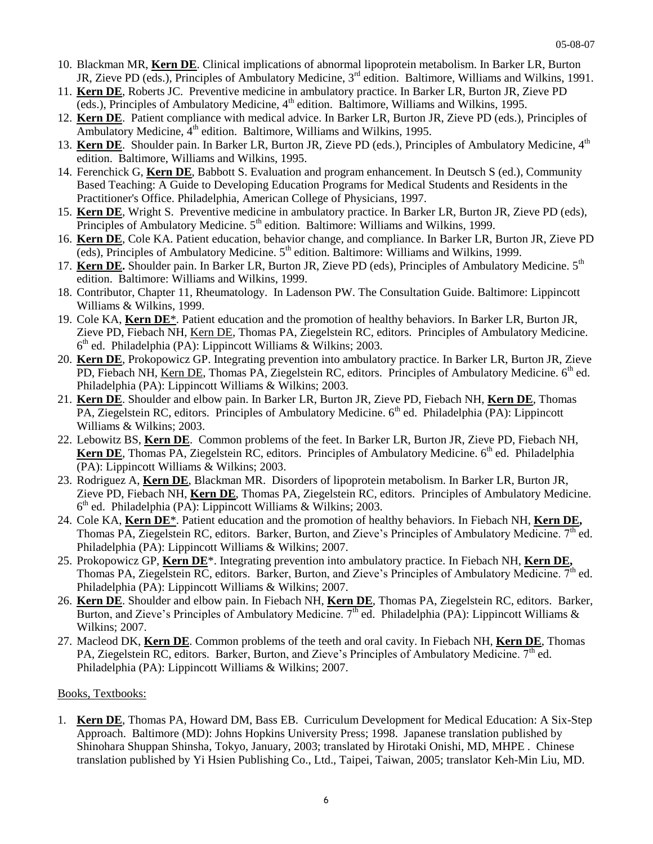- 10. Blackman MR, **Kern DE**. Clinical implications of abnormal lipoprotein metabolism. In Barker LR, Burton JR, Zieve PD (eds.), Principles of Ambulatory Medicine, 3<sup>rd</sup> edition. Baltimore, Williams and Wilkins, 1991.
- 11. **Kern DE**, Roberts JC. Preventive medicine in ambulatory practice. In Barker LR, Burton JR, Zieve PD (eds.), Principles of Ambulatory Medicine,  $4<sup>th</sup>$  edition. Baltimore, Williams and Wilkins, 1995.
- 12. **Kern DE**. Patient compliance with medical advice. In Barker LR, Burton JR, Zieve PD (eds.), Principles of Ambulatory Medicine,  $4<sup>th</sup>$  edition. Baltimore, Williams and Wilkins, 1995.
- 13. Kern DE. Shoulder pain. In Barker LR, Burton JR, Zieve PD (eds.), Principles of Ambulatory Medicine. 4<sup>th</sup> edition. Baltimore, Williams and Wilkins, 1995.
- 14. Ferenchick G, **Kern DE**, Babbott S. Evaluation and program enhancement. In Deutsch S (ed.), Community Based Teaching: A Guide to Developing Education Programs for Medical Students and Residents in the Practitioner's Office. Philadelphia, American College of Physicians, 1997.
- 15. **Kern DE**, Wright S. Preventive medicine in ambulatory practice. In Barker LR, Burton JR, Zieve PD (eds), Principles of Ambulatory Medicine. 5<sup>th</sup> edition. Baltimore: Williams and Wilkins, 1999.
- 16. **Kern DE**, Cole KA. Patient education, behavior change, and compliance. In Barker LR, Burton JR, Zieve PD (eds), Principles of Ambulatory Medicine.  $5<sup>th</sup>$  edition. Baltimore: Williams and Wilkins, 1999.
- 17. **Kern DE.** Shoulder pain. In Barker LR, Burton JR, Zieve PD (eds), Principles of Ambulatory Medicine. 5th edition. Baltimore: Williams and Wilkins, 1999.
- 18. Contributor, Chapter 11, Rheumatology. In Ladenson PW. The Consultation Guide. Baltimore: Lippincott Williams & Wilkins, 1999.
- 19. Cole KA, **Kern DE**\*. Patient education and the promotion of healthy behaviors. In Barker LR, Burton JR, Zieve PD, Fiebach NH, Kern DE, Thomas PA, Ziegelstein RC, editors. Principles of Ambulatory Medicine. 6<sup>th</sup> ed. Philadelphia (PA): Lippincott Williams & Wilkins; 2003.
- 20. **Kern DE**, Prokopowicz GP. Integrating prevention into ambulatory practice. In Barker LR, Burton JR, Zieve PD, Fiebach NH, Kern DE, Thomas PA, Ziegelstein RC, editors. Principles of Ambulatory Medicine.  $6<sup>th</sup>$  ed. Philadelphia (PA): Lippincott Williams & Wilkins; 2003.
- 21. **Kern DE**. Shoulder and elbow pain. In Barker LR, Burton JR, Zieve PD, Fiebach NH, **Kern DE**, Thomas PA, Ziegelstein RC, editors. Principles of Ambulatory Medicine.  $6<sup>th</sup>$  ed. Philadelphia (PA): Lippincott Williams & Wilkins; 2003.
- 22. Lebowitz BS, **Kern DE**. Common problems of the feet. In Barker LR, Burton JR, Zieve PD, Fiebach NH, Kern DE, Thomas PA, Ziegelstein RC, editors. Principles of Ambulatory Medicine. 6<sup>th</sup> ed. Philadelphia (PA): Lippincott Williams & Wilkins; 2003.
- 23. Rodriguez A, **Kern DE**, Blackman MR. Disorders of lipoprotein metabolism. In Barker LR, Burton JR, Zieve PD, Fiebach NH, **Kern DE**, Thomas PA, Ziegelstein RC, editors. Principles of Ambulatory Medicine. 6<sup>th</sup> ed. Philadelphia (PA): Lippincott Williams & Wilkins; 2003.
- 24. Cole KA, **Kern DE**\*. Patient education and the promotion of healthy behaviors. In Fiebach NH, **Kern DE,** Thomas PA, Ziegelstein RC, editors. Barker, Burton, and Zieve's Principles of Ambulatory Medicine. 7<sup>th</sup> ed. Philadelphia (PA): Lippincott Williams & Wilkins; 2007.
- 25. Prokopowicz GP, **Kern DE**\*. Integrating prevention into ambulatory practice. In Fiebach NH, **Kern DE,** Thomas PA, Ziegelstein RC, editors. Barker, Burton, and Zieve's Principles of Ambulatory Medicine.  $7<sup>th</sup>$  ed. Philadelphia (PA): Lippincott Williams & Wilkins; 2007.
- 26. **Kern DE**. Shoulder and elbow pain. In Fiebach NH, **Kern DE**, Thomas PA, Ziegelstein RC, editors. Barker, Burton, and Zieve's Principles of Ambulatory Medicine.  $7<sup>th</sup>$  ed. Philadelphia (PA): Lippincott Williams & Wilkins; 2007.
- 27. Macleod DK, **Kern DE**. Common problems of the teeth and oral cavity. In Fiebach NH, **Kern DE**, Thomas PA, Ziegelstein RC, editors. Barker, Burton, and Zieve's Principles of Ambulatory Medicine.  $7<sup>th</sup>$  ed. Philadelphia (PA): Lippincott Williams & Wilkins; 2007.

## Books, Textbooks:

1. **Kern DE**, Thomas PA, Howard DM, Bass EB. Curriculum Development for Medical Education: A Six-Step Approach. Baltimore (MD): Johns Hopkins University Press; 1998. Japanese translation published by Shinohara Shuppan Shinsha, Tokyo, January, 2003; translated by Hirotaki Onishi, MD, MHPE . Chinese translation published by Yi Hsien Publishing Co., Ltd., Taipei, Taiwan, 2005; translator Keh-Min Liu, MD.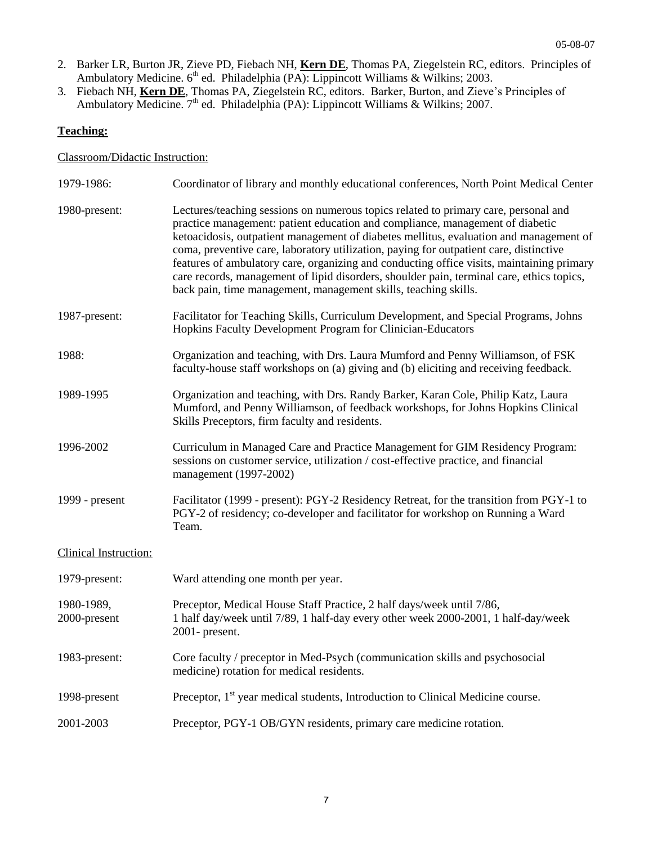- 2. Barker LR, Burton JR, Zieve PD, Fiebach NH, **Kern DE**, Thomas PA, Ziegelstein RC, editors. Principles of Ambulatory Medicine.  $6<sup>th</sup>$  ed. Philadelphia (PA): Lippincott Williams & Wilkins; 2003.
- 3. Fiebach NH, **Kern DE**, Thomas PA, Ziegelstein RC, editors. Barker, Burton, and Zieve's Principles of Ambulatory Medicine. 7<sup>th</sup> ed. Philadelphia (PA): Lippincott Williams & Wilkins; 2007.

## **Teaching:**

#### Classroom/Didactic Instruction:

| 1979-1986:                 | Coordinator of library and monthly educational conferences, North Point Medical Center                                                                                                                                                                                                                                                                                                                                                                                                                                                                                                                                |
|----------------------------|-----------------------------------------------------------------------------------------------------------------------------------------------------------------------------------------------------------------------------------------------------------------------------------------------------------------------------------------------------------------------------------------------------------------------------------------------------------------------------------------------------------------------------------------------------------------------------------------------------------------------|
| 1980-present:              | Lectures/teaching sessions on numerous topics related to primary care, personal and<br>practice management: patient education and compliance, management of diabetic<br>ketoacidosis, outpatient management of diabetes mellitus, evaluation and management of<br>coma, preventive care, laboratory utilization, paying for outpatient care, distinctive<br>features of ambulatory care, organizing and conducting office visits, maintaining primary<br>care records, management of lipid disorders, shoulder pain, terminal care, ethics topics,<br>back pain, time management, management skills, teaching skills. |
| 1987-present:              | Facilitator for Teaching Skills, Curriculum Development, and Special Programs, Johns<br>Hopkins Faculty Development Program for Clinician-Educators                                                                                                                                                                                                                                                                                                                                                                                                                                                                   |
| 1988:                      | Organization and teaching, with Drs. Laura Mumford and Penny Williamson, of FSK<br>faculty-house staff workshops on (a) giving and (b) eliciting and receiving feedback.                                                                                                                                                                                                                                                                                                                                                                                                                                              |
| 1989-1995                  | Organization and teaching, with Drs. Randy Barker, Karan Cole, Philip Katz, Laura<br>Mumford, and Penny Williamson, of feedback workshops, for Johns Hopkins Clinical<br>Skills Preceptors, firm faculty and residents.                                                                                                                                                                                                                                                                                                                                                                                               |
| 1996-2002                  | Curriculum in Managed Care and Practice Management for GIM Residency Program:<br>sessions on customer service, utilization / cost-effective practice, and financial<br>management (1997-2002)                                                                                                                                                                                                                                                                                                                                                                                                                         |
| 1999 - present             | Facilitator (1999 - present): PGY-2 Residency Retreat, for the transition from PGY-1 to<br>PGY-2 of residency; co-developer and facilitator for workshop on Running a Ward<br>Team.                                                                                                                                                                                                                                                                                                                                                                                                                                   |
| Clinical Instruction:      |                                                                                                                                                                                                                                                                                                                                                                                                                                                                                                                                                                                                                       |
| 1979-present:              | Ward attending one month per year.                                                                                                                                                                                                                                                                                                                                                                                                                                                                                                                                                                                    |
| 1980-1989,<br>2000-present | Preceptor, Medical House Staff Practice, 2 half days/week until 7/86,<br>1 half day/week until 7/89, 1 half-day every other week 2000-2001, 1 half-day/week<br>2001- present.                                                                                                                                                                                                                                                                                                                                                                                                                                         |
| 1983-present:              | Core faculty / preceptor in Med-Psych (communication skills and psychosocial<br>medicine) rotation for medical residents.                                                                                                                                                                                                                                                                                                                                                                                                                                                                                             |
| 1998-present               | Preceptor, 1 <sup>st</sup> year medical students, Introduction to Clinical Medicine course.                                                                                                                                                                                                                                                                                                                                                                                                                                                                                                                           |
| 2001-2003                  | Preceptor, PGY-1 OB/GYN residents, primary care medicine rotation.                                                                                                                                                                                                                                                                                                                                                                                                                                                                                                                                                    |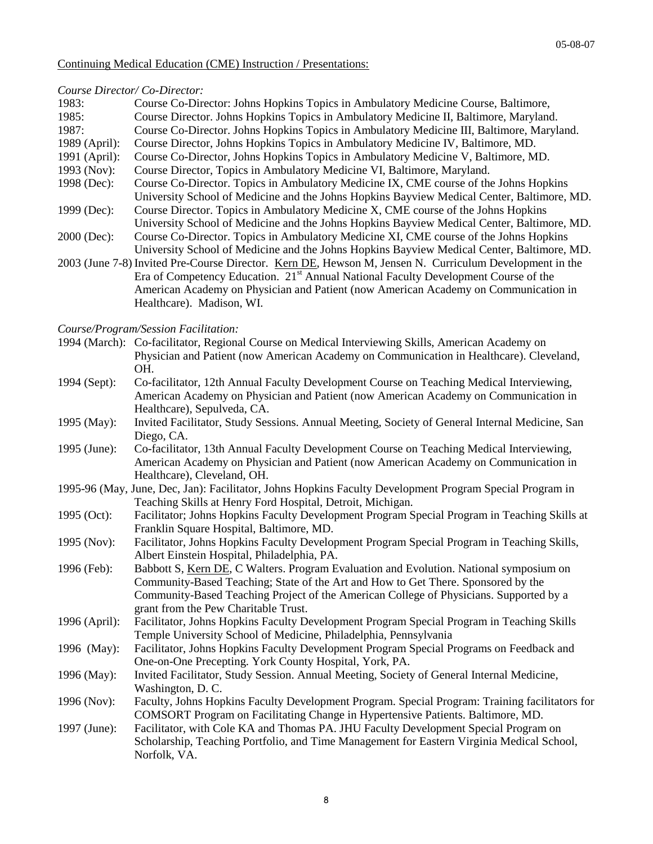#### Continuing Medical Education (CME) Instruction / Presentations:

#### *Course Director/ Co-Director:*

| 1983:         | Course Co-Director: Johns Hopkins Topics in Ambulatory Medicine Course, Baltimore,                      |
|---------------|---------------------------------------------------------------------------------------------------------|
| 1985:         | Course Director. Johns Hopkins Topics in Ambulatory Medicine II, Baltimore, Maryland.                   |
| 1987:         | Course Co-Director. Johns Hopkins Topics in Ambulatory Medicine III, Baltimore, Maryland.               |
| 1989 (April): | Course Director, Johns Hopkins Topics in Ambulatory Medicine IV, Baltimore, MD.                         |
| 1991 (April): | Course Co-Director, Johns Hopkins Topics in Ambulatory Medicine V, Baltimore, MD.                       |
| 1993 (Nov):   | Course Director, Topics in Ambulatory Medicine VI, Baltimore, Maryland.                                 |
| 1998 (Dec):   | Course Co-Director. Topics in Ambulatory Medicine IX, CME course of the Johns Hopkins                   |
|               | University School of Medicine and the Johns Hopkins Bayview Medical Center, Baltimore, MD.              |
| 1999 (Dec):   | Course Director. Topics in Ambulatory Medicine X, CME course of the Johns Hopkins                       |
|               | University School of Medicine and the Johns Hopkins Bayview Medical Center, Baltimore, MD.              |
| $2000$ (Dec): | Course Co-Director. Topics in Ambulatory Medicine XI, CME course of the Johns Hopkins                   |
|               | University School of Medicine and the Johns Hopkins Bayview Medical Center, Baltimore, MD.              |
|               | 2003 (June 7-8) Invited Pre-Course Director. Kern DE, Hewson M, Jensen N. Curriculum Development in the |
|               | Era of Competency Education. 21 <sup>st</sup> Annual National Faculty Development Course of the         |
|               | American Academy on Physician and Patient (now American Academy on Communication in                     |
|               | Healthcare). Madison. WI.                                                                               |

*Course/Program/Session Facilitation:*

| 1994 (March): Co-facilitator, Regional Course on Medical Interviewing Skills, American Academy on |  |
|---------------------------------------------------------------------------------------------------|--|
| Physician and Patient (now American Academy on Communication in Healthcare). Cleveland,           |  |
| OH.                                                                                               |  |
|                                                                                                   |  |

- 1994 (Sept): Co-facilitator, 12th Annual Faculty Development Course on Teaching Medical Interviewing, American Academy on Physician and Patient (now American Academy on Communication in Healthcare), Sepulveda, CA.
- 1995 (May): Invited Facilitator, Study Sessions. Annual Meeting, Society of General Internal Medicine, San Diego, CA.
- 1995 (June): Co-facilitator, 13th Annual Faculty Development Course on Teaching Medical Interviewing, American Academy on Physician and Patient (now American Academy on Communication in Healthcare), Cleveland, OH.
- 1995-96 (May, June, Dec, Jan): Facilitator, Johns Hopkins Faculty Development Program Special Program in Teaching Skills at Henry Ford Hospital, Detroit, Michigan.
- 1995 (Oct): Facilitator; Johns Hopkins Faculty Development Program Special Program in Teaching Skills at Franklin Square Hospital, Baltimore, MD.
- 1995 (Nov): Facilitator, Johns Hopkins Faculty Development Program Special Program in Teaching Skills, Albert Einstein Hospital, Philadelphia, PA.
- 1996 (Feb): Babbott S, Kern DE, C Walters. Program Evaluation and Evolution. National symposium on Community-Based Teaching; State of the Art and How to Get There. Sponsored by the Community-Based Teaching Project of the American College of Physicians. Supported by a grant from the Pew Charitable Trust.
- 1996 (April): Facilitator, Johns Hopkins Faculty Development Program Special Program in Teaching Skills Temple University School of Medicine, Philadelphia, Pennsylvania
- 1996 (May): Facilitator, Johns Hopkins Faculty Development Program Special Programs on Feedback and One-on-One Precepting. York County Hospital, York, PA.
- 1996 (May): Invited Facilitator, Study Session. Annual Meeting, Society of General Internal Medicine, Washington, D. C.
- 1996 (Nov): Faculty, Johns Hopkins Faculty Development Program. Special Program: Training facilitators for COMSORT Program on Facilitating Change in Hypertensive Patients. Baltimore, MD.
- 1997 (June): Facilitator, with Cole KA and Thomas PA. JHU Faculty Development Special Program on Scholarship, Teaching Portfolio, and Time Management for Eastern Virginia Medical School, Norfolk, VA.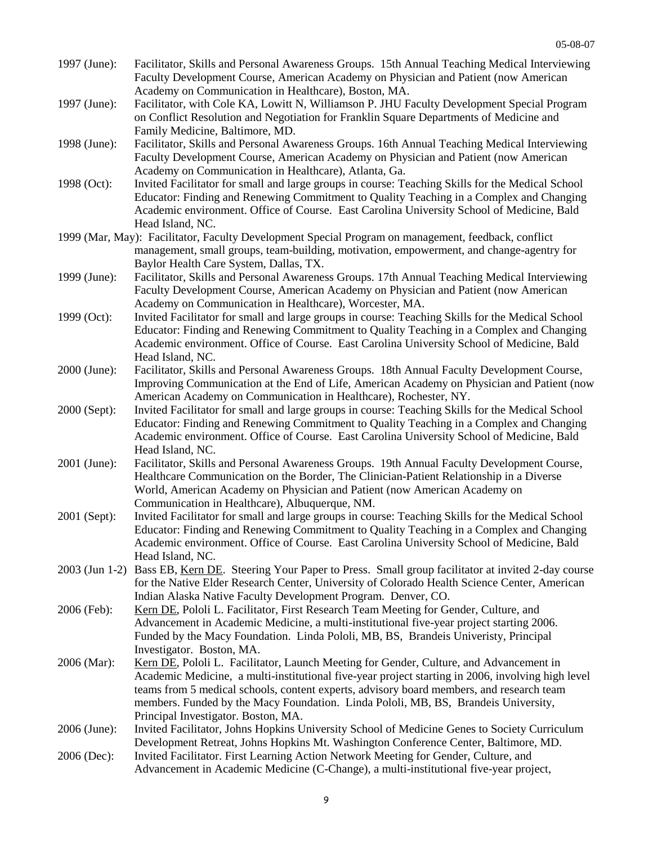- 1997 (June): Facilitator, Skills and Personal Awareness Groups. 15th Annual Teaching Medical Interviewing Faculty Development Course, American Academy on Physician and Patient (now American Academy on Communication in Healthcare), Boston, MA.
- 1997 (June): Facilitator, with Cole KA, Lowitt N, Williamson P. JHU Faculty Development Special Program on Conflict Resolution and Negotiation for Franklin Square Departments of Medicine and Family Medicine, Baltimore, MD.
- 1998 (June): Facilitator, Skills and Personal Awareness Groups. 16th Annual Teaching Medical Interviewing Faculty Development Course, American Academy on Physician and Patient (now American Academy on Communication in Healthcare), Atlanta, Ga.
- 1998 (Oct): Invited Facilitator for small and large groups in course: Teaching Skills for the Medical School Educator: Finding and Renewing Commitment to Quality Teaching in a Complex and Changing Academic environment. Office of Course. East Carolina University School of Medicine, Bald Head Island, NC.
- 1999 (Mar, May): Facilitator, Faculty Development Special Program on management, feedback, conflict management, small groups, team-building, motivation, empowerment, and change-agentry for Baylor Health Care System, Dallas, TX.
- 1999 (June): Facilitator, Skills and Personal Awareness Groups. 17th Annual Teaching Medical Interviewing Faculty Development Course, American Academy on Physician and Patient (now American Academy on Communication in Healthcare), Worcester, MA.
- 1999 (Oct): Invited Facilitator for small and large groups in course: Teaching Skills for the Medical School Educator: Finding and Renewing Commitment to Quality Teaching in a Complex and Changing Academic environment. Office of Course. East Carolina University School of Medicine, Bald Head Island, NC.
- 2000 (June): Facilitator, Skills and Personal Awareness Groups. 18th Annual Faculty Development Course, Improving Communication at the End of Life, American Academy on Physician and Patient (now American Academy on Communication in Healthcare), Rochester, NY.
- 2000 (Sept): Invited Facilitator for small and large groups in course: Teaching Skills for the Medical School Educator: Finding and Renewing Commitment to Quality Teaching in a Complex and Changing Academic environment. Office of Course. East Carolina University School of Medicine, Bald Head Island, NC.
- 2001 (June): Facilitator, Skills and Personal Awareness Groups. 19th Annual Faculty Development Course, Healthcare Communication on the Border, The Clinician-Patient Relationship in a Diverse World, American Academy on Physician and Patient (now American Academy on Communication in Healthcare), Albuquerque, NM.
- 2001 (Sept): Invited Facilitator for small and large groups in course: Teaching Skills for the Medical School Educator: Finding and Renewing Commitment to Quality Teaching in a Complex and Changing Academic environment. Office of Course. East Carolina University School of Medicine, Bald Head Island, NC.
- 2003 (Jun 1-2) Bass EB, Kern DE. Steering Your Paper to Press. Small group facilitator at invited 2-day course for the Native Elder Research Center, University of Colorado Health Science Center, American Indian Alaska Native Faculty Development Program. Denver, CO.
- 2006 (Feb): Kern DE, Pololi L. Facilitator, First Research Team Meeting for Gender, Culture, and Advancement in Academic Medicine, a multi-institutional five-year project starting 2006. Funded by the Macy Foundation. Linda Pololi, MB, BS, Brandeis Univeristy, Principal Investigator. Boston, MA.
- 2006 (Mar): Kern DE, Pololi L. Facilitator, Launch Meeting for Gender, Culture, and Advancement in Academic Medicine, a multi-institutional five-year project starting in 2006, involving high level teams from 5 medical schools, content experts, advisory board members, and research team members. Funded by the Macy Foundation. Linda Pololi, MB, BS, Brandeis University, Principal Investigator. Boston, MA.
- 2006 (June): Invited Facilitator, Johns Hopkins University School of Medicine Genes to Society Curriculum Development Retreat, Johns Hopkins Mt. Washington Conference Center, Baltimore, MD.
- 2006 (Dec): Invited Facilitator. First Learning Action Network Meeting for Gender, Culture, and Advancement in Academic Medicine (C-Change), a multi-institutional five-year project,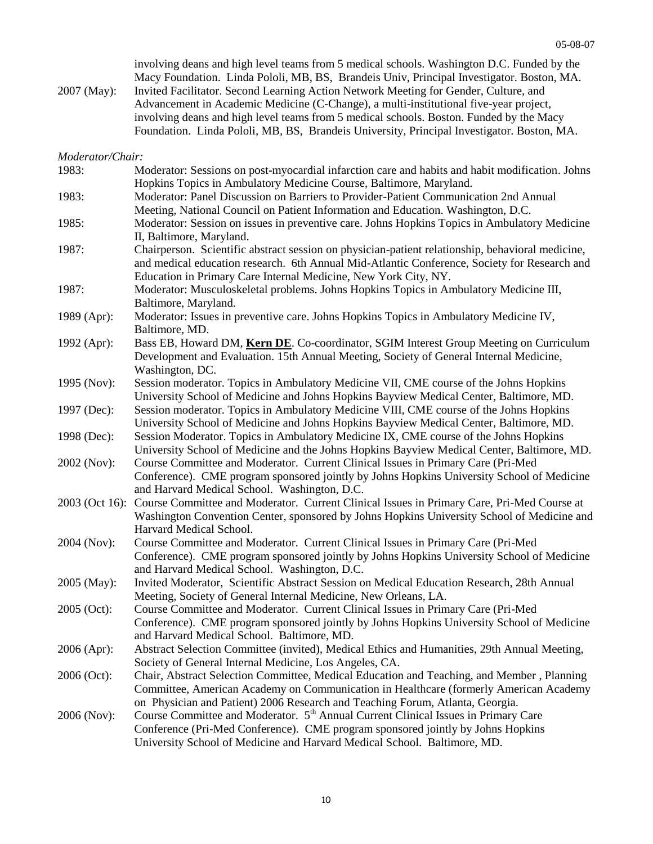| 2007 (May):      | involving deans and high level teams from 5 medical schools. Washington D.C. Funded by the<br>Macy Foundation. Linda Pololi, MB, BS, Brandeis Univ, Principal Investigator. Boston, MA.<br>Invited Facilitator. Second Learning Action Network Meeting for Gender, Culture, and<br>Advancement in Academic Medicine (C-Change), a multi-institutional five-year project,<br>involving deans and high level teams from 5 medical schools. Boston. Funded by the Macy<br>Foundation. Linda Pololi, MB, BS, Brandeis University, Principal Investigator. Boston, MA. |
|------------------|-------------------------------------------------------------------------------------------------------------------------------------------------------------------------------------------------------------------------------------------------------------------------------------------------------------------------------------------------------------------------------------------------------------------------------------------------------------------------------------------------------------------------------------------------------------------|
| Moderator/Chair: |                                                                                                                                                                                                                                                                                                                                                                                                                                                                                                                                                                   |
| 1983:            | Moderator: Sessions on post-myocardial infarction care and habits and habit modification. Johns                                                                                                                                                                                                                                                                                                                                                                                                                                                                   |
|                  | Hopkins Topics in Ambulatory Medicine Course, Baltimore, Maryland.                                                                                                                                                                                                                                                                                                                                                                                                                                                                                                |
| 1983:            | Moderator: Panel Discussion on Barriers to Provider-Patient Communication 2nd Annual                                                                                                                                                                                                                                                                                                                                                                                                                                                                              |
|                  | Meeting, National Council on Patient Information and Education. Washington, D.C.                                                                                                                                                                                                                                                                                                                                                                                                                                                                                  |
| 1985:            | Moderator: Session on issues in preventive care. Johns Hopkins Topics in Ambulatory Medicine                                                                                                                                                                                                                                                                                                                                                                                                                                                                      |
|                  | II, Baltimore, Maryland.                                                                                                                                                                                                                                                                                                                                                                                                                                                                                                                                          |
| 1987:            | Chairperson. Scientific abstract session on physician-patient relationship, behavioral medicine,<br>and medical education research. 6th Annual Mid-Atlantic Conference, Society for Research and<br>Education in Primary Care Internal Medicine, New York City, NY.                                                                                                                                                                                                                                                                                               |
| 1987:            | Moderator: Musculoskeletal problems. Johns Hopkins Topics in Ambulatory Medicine III,                                                                                                                                                                                                                                                                                                                                                                                                                                                                             |
|                  | Baltimore, Maryland.                                                                                                                                                                                                                                                                                                                                                                                                                                                                                                                                              |
| 1989 (Apr):      | Moderator: Issues in preventive care. Johns Hopkins Topics in Ambulatory Medicine IV,                                                                                                                                                                                                                                                                                                                                                                                                                                                                             |
|                  | Baltimore, MD.                                                                                                                                                                                                                                                                                                                                                                                                                                                                                                                                                    |
| 1992 (Apr):      | Bass EB, Howard DM, Kern DE. Co-coordinator, SGIM Interest Group Meeting on Curriculum                                                                                                                                                                                                                                                                                                                                                                                                                                                                            |
|                  | Development and Evaluation. 15th Annual Meeting, Society of General Internal Medicine,                                                                                                                                                                                                                                                                                                                                                                                                                                                                            |
|                  | Washington, DC.                                                                                                                                                                                                                                                                                                                                                                                                                                                                                                                                                   |
| 1995 (Nov):      | Session moderator. Topics in Ambulatory Medicine VII, CME course of the Johns Hopkins                                                                                                                                                                                                                                                                                                                                                                                                                                                                             |
|                  | University School of Medicine and Johns Hopkins Bayview Medical Center, Baltimore, MD.                                                                                                                                                                                                                                                                                                                                                                                                                                                                            |
| 1997 (Dec):      | Session moderator. Topics in Ambulatory Medicine VIII, CME course of the Johns Hopkins                                                                                                                                                                                                                                                                                                                                                                                                                                                                            |
|                  | University School of Medicine and Johns Hopkins Bayview Medical Center, Baltimore, MD.                                                                                                                                                                                                                                                                                                                                                                                                                                                                            |
| 1998 (Dec):      | Session Moderator. Topics in Ambulatory Medicine IX, CME course of the Johns Hopkins                                                                                                                                                                                                                                                                                                                                                                                                                                                                              |
|                  | University School of Medicine and the Johns Hopkins Bayview Medical Center, Baltimore, MD.                                                                                                                                                                                                                                                                                                                                                                                                                                                                        |
| 2002 (Nov):      | Course Committee and Moderator. Current Clinical Issues in Primary Care (Pri-Med                                                                                                                                                                                                                                                                                                                                                                                                                                                                                  |
|                  | Conference). CME program sponsored jointly by Johns Hopkins University School of Medicine                                                                                                                                                                                                                                                                                                                                                                                                                                                                         |
|                  | and Harvard Medical School. Washington, D.C.                                                                                                                                                                                                                                                                                                                                                                                                                                                                                                                      |
| 2003 (Oct 16):   | Course Committee and Moderator. Current Clinical Issues in Primary Care, Pri-Med Course at                                                                                                                                                                                                                                                                                                                                                                                                                                                                        |
|                  | Washington Convention Center, sponsored by Johns Hopkins University School of Medicine and                                                                                                                                                                                                                                                                                                                                                                                                                                                                        |
|                  | Harvard Medical School.                                                                                                                                                                                                                                                                                                                                                                                                                                                                                                                                           |
| 2004 (Nov):      | Course Committee and Moderator. Current Clinical Issues in Primary Care (Pri-Med                                                                                                                                                                                                                                                                                                                                                                                                                                                                                  |
|                  | Conference). CME program sponsored jointly by Johns Hopkins University School of Medicine<br>and Harvard Medical School. Washington, D.C.                                                                                                                                                                                                                                                                                                                                                                                                                         |
| 2005 (May):      | Invited Moderator, Scientific Abstract Session on Medical Education Research, 28th Annual                                                                                                                                                                                                                                                                                                                                                                                                                                                                         |
|                  | Meeting, Society of General Internal Medicine, New Orleans, LA.                                                                                                                                                                                                                                                                                                                                                                                                                                                                                                   |
| 2005 (Oct):      | Course Committee and Moderator. Current Clinical Issues in Primary Care (Pri-Med                                                                                                                                                                                                                                                                                                                                                                                                                                                                                  |
|                  | Conference). CME program sponsored jointly by Johns Hopkins University School of Medicine                                                                                                                                                                                                                                                                                                                                                                                                                                                                         |
|                  | and Harvard Medical School. Baltimore, MD.                                                                                                                                                                                                                                                                                                                                                                                                                                                                                                                        |
| 2006 (Apr):      | Abstract Selection Committee (invited), Medical Ethics and Humanities, 29th Annual Meeting,                                                                                                                                                                                                                                                                                                                                                                                                                                                                       |
|                  | Society of General Internal Medicine, Los Angeles, CA.                                                                                                                                                                                                                                                                                                                                                                                                                                                                                                            |
| 2006 (Oct):      | Chair, Abstract Selection Committee, Medical Education and Teaching, and Member, Planning                                                                                                                                                                                                                                                                                                                                                                                                                                                                         |
|                  | Committee, American Academy on Communication in Healthcare (formerly American Academy                                                                                                                                                                                                                                                                                                                                                                                                                                                                             |
|                  | on Physician and Patient) 2006 Research and Teaching Forum, Atlanta, Georgia.                                                                                                                                                                                                                                                                                                                                                                                                                                                                                     |
| 2006 (Nov):      | Course Committee and Moderator. 5 <sup>th</sup> Annual Current Clinical Issues in Primary Care                                                                                                                                                                                                                                                                                                                                                                                                                                                                    |
|                  | Conference (Pri-Med Conference). CME program sponsored jointly by Johns Hopkins                                                                                                                                                                                                                                                                                                                                                                                                                                                                                   |
|                  | University School of Medicine and Harvard Medical School. Baltimore, MD.                                                                                                                                                                                                                                                                                                                                                                                                                                                                                          |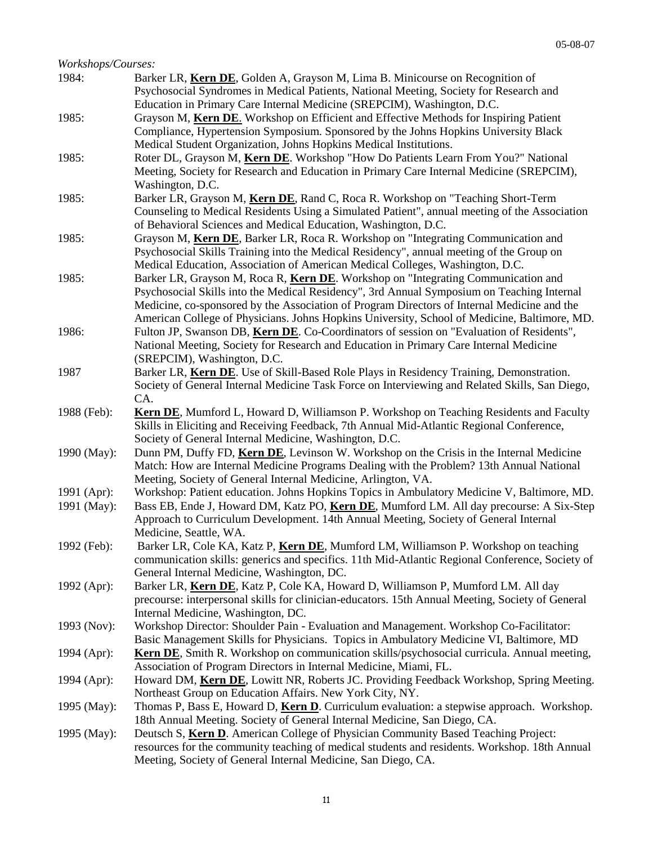| Workshops/Courses: |                                                                                                                                                                                 |
|--------------------|---------------------------------------------------------------------------------------------------------------------------------------------------------------------------------|
| 1984:              | Barker LR, Kern DE, Golden A, Grayson M, Lima B. Minicourse on Recognition of<br>Psychosocial Syndromes in Medical Patients, National Meeting, Society for Research and         |
|                    | Education in Primary Care Internal Medicine (SREPCIM), Washington, D.C.                                                                                                         |
| 1985:              | Grayson M, Kern DE. Workshop on Efficient and Effective Methods for Inspiring Patient<br>Compliance, Hypertension Symposium. Sponsored by the Johns Hopkins University Black    |
|                    | Medical Student Organization, Johns Hopkins Medical Institutions.                                                                                                               |
| 1985:              | Roter DL, Grayson M, Kern DE. Workshop "How Do Patients Learn From You?" National                                                                                               |
|                    | Meeting, Society for Research and Education in Primary Care Internal Medicine (SREPCIM),<br>Washington, D.C.                                                                    |
| 1985:              | Barker LR, Grayson M, Kern DE, Rand C, Roca R. Workshop on "Teaching Short-Term                                                                                                 |
|                    | Counseling to Medical Residents Using a Simulated Patient", annual meeting of the Association<br>of Behavioral Sciences and Medical Education, Washington, D.C.                 |
| 1985:              | Grayson M, Kern DE, Barker LR, Roca R. Workshop on "Integrating Communication and                                                                                               |
|                    | Psychosocial Skills Training into the Medical Residency", annual meeting of the Group on                                                                                        |
|                    | Medical Education, Association of American Medical Colleges, Washington, D.C.                                                                                                   |
| 1985:              | Barker LR, Grayson M, Roca R, Kern DE. Workshop on "Integrating Communication and<br>Psychosocial Skills into the Medical Residency", 3rd Annual Symposium on Teaching Internal |
|                    | Medicine, co-sponsored by the Association of Program Directors of Internal Medicine and the                                                                                     |
|                    | American College of Physicians. Johns Hopkins University, School of Medicine, Baltimore, MD.                                                                                    |
| 1986:              | Fulton JP, Swanson DB, Kern DE. Co-Coordinators of session on "Evaluation of Residents",                                                                                        |
|                    | National Meeting, Society for Research and Education in Primary Care Internal Medicine<br>(SREPCIM), Washington, D.C.                                                           |
| 1987               | Barker LR, Kern DE. Use of Skill-Based Role Plays in Residency Training, Demonstration.                                                                                         |
|                    | Society of General Internal Medicine Task Force on Interviewing and Related Skills, San Diego,                                                                                  |
|                    | CA.                                                                                                                                                                             |
| 1988 (Feb):        | Kern DE, Mumford L, Howard D, Williamson P. Workshop on Teaching Residents and Faculty                                                                                          |
|                    | Skills in Eliciting and Receiving Feedback, 7th Annual Mid-Atlantic Regional Conference,                                                                                        |
|                    | Society of General Internal Medicine, Washington, D.C.                                                                                                                          |
| 1990 (May):        | Dunn PM, Duffy FD, Kern DE, Levinson W. Workshop on the Crisis in the Internal Medicine                                                                                         |
|                    | Match: How are Internal Medicine Programs Dealing with the Problem? 13th Annual National                                                                                        |
|                    | Meeting, Society of General Internal Medicine, Arlington, VA.                                                                                                                   |
| 1991 (Apr):        | Workshop: Patient education. Johns Hopkins Topics in Ambulatory Medicine V, Baltimore, MD.                                                                                      |
| 1991 (May):        | Bass EB, Ende J, Howard DM, Katz PO, Kern DE, Mumford LM. All day precourse: A Six-Step                                                                                         |
|                    | Approach to Curriculum Development. 14th Annual Meeting, Society of General Internal                                                                                            |
|                    | Medicine, Seattle, WA.                                                                                                                                                          |
| 1992 (Feb):        | Barker LR, Cole KA, Katz P, Kern DE, Mumford LM, Williamson P. Workshop on teaching                                                                                             |
|                    | communication skills: generics and specifics. 11th Mid-Atlantic Regional Conference, Society of                                                                                 |
|                    | General Internal Medicine, Washington, DC.                                                                                                                                      |
| 1992 (Apr):        | Barker LR, Kern DE, Katz P, Cole KA, Howard D, Williamson P, Mumford LM. All day                                                                                                |
|                    | precourse: interpersonal skills for clinician-educators. 15th Annual Meeting, Society of General<br>Internal Medicine, Washington, DC.                                          |
| 1993 (Nov):        | Workshop Director: Shoulder Pain - Evaluation and Management. Workshop Co-Facilitator:                                                                                          |
|                    | Basic Management Skills for Physicians. Topics in Ambulatory Medicine VI, Baltimore, MD                                                                                         |
| 1994 (Apr):        | <b>Kern DE</b> , Smith R. Workshop on communication skills/psychosocial curricula. Annual meeting,                                                                              |
|                    | Association of Program Directors in Internal Medicine, Miami, FL.                                                                                                               |
| 1994 (Apr):        | Howard DM, Kern DE, Lowitt NR, Roberts JC. Providing Feedback Workshop, Spring Meeting.                                                                                         |
|                    | Northeast Group on Education Affairs. New York City, NY.                                                                                                                        |
| 1995 (May):        | Thomas P, Bass E, Howard D, Kern D. Curriculum evaluation: a stepwise approach. Workshop.                                                                                       |
|                    | 18th Annual Meeting. Society of General Internal Medicine, San Diego, CA.                                                                                                       |
| 1995 (May):        | Deutsch S, Kern D. American College of Physician Community Based Teaching Project:                                                                                              |
|                    | resources for the community teaching of medical students and residents. Workshop. 18th Annual                                                                                   |
|                    | Meeting, Society of General Internal Medicine, San Diego, CA.                                                                                                                   |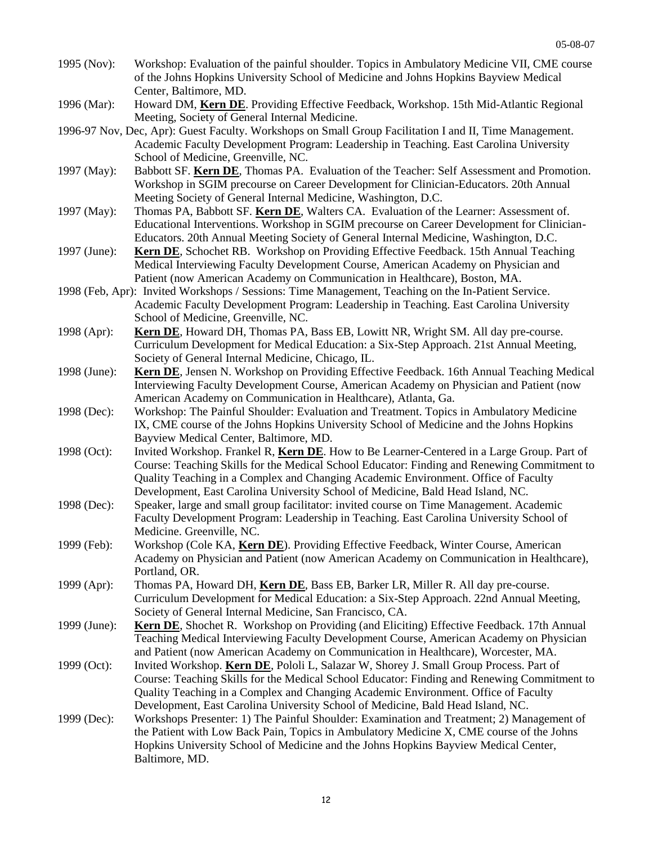- 1995 (Nov): Workshop: Evaluation of the painful shoulder. Topics in Ambulatory Medicine VII, CME course of the Johns Hopkins University School of Medicine and Johns Hopkins Bayview Medical Center, Baltimore, MD.
- 1996 (Mar): Howard DM, **Kern DE**. Providing Effective Feedback, Workshop. 15th Mid-Atlantic Regional Meeting, Society of General Internal Medicine.
- 1996-97 Nov, Dec, Apr): Guest Faculty. Workshops on Small Group Facilitation I and II, Time Management. Academic Faculty Development Program: Leadership in Teaching. East Carolina University School of Medicine, Greenville, NC.
- 1997 (May): Babbott SF. **Kern DE**, Thomas PA. Evaluation of the Teacher: Self Assessment and Promotion. Workshop in SGIM precourse on Career Development for Clinician-Educators. 20th Annual Meeting Society of General Internal Medicine, Washington, D.C.
- 1997 (May): Thomas PA, Babbott SF. **Kern DE**, Walters CA. Evaluation of the Learner: Assessment of. Educational Interventions. Workshop in SGIM precourse on Career Development for Clinician-Educators. 20th Annual Meeting Society of General Internal Medicine, Washington, D.C.
- 1997 (June): **Kern DE**, Schochet RB. Workshop on Providing Effective Feedback. 15th Annual Teaching Medical Interviewing Faculty Development Course, American Academy on Physician and Patient (now American Academy on Communication in Healthcare), Boston, MA.
- 1998 (Feb, Apr): Invited Workshops / Sessions: Time Management, Teaching on the In-Patient Service. Academic Faculty Development Program: Leadership in Teaching. East Carolina University School of Medicine, Greenville, NC.
- 1998 (Apr): **Kern DE**, Howard DH, Thomas PA, Bass EB, Lowitt NR, Wright SM. All day pre-course. Curriculum Development for Medical Education: a Six-Step Approach. 21st Annual Meeting, Society of General Internal Medicine, Chicago, IL.
- 1998 (June): **Kern DE**, Jensen N. Workshop on Providing Effective Feedback. 16th Annual Teaching Medical Interviewing Faculty Development Course, American Academy on Physician and Patient (now American Academy on Communication in Healthcare), Atlanta, Ga.
- 1998 (Dec): Workshop: The Painful Shoulder: Evaluation and Treatment. Topics in Ambulatory Medicine IX, CME course of the Johns Hopkins University School of Medicine and the Johns Hopkins Bayview Medical Center, Baltimore, MD.
- 1998 (Oct): Invited Workshop. Frankel R, **Kern DE**. How to Be Learner-Centered in a Large Group. Part of Course: Teaching Skills for the Medical School Educator: Finding and Renewing Commitment to Quality Teaching in a Complex and Changing Academic Environment. Office of Faculty Development, East Carolina University School of Medicine, Bald Head Island, NC.
- 1998 (Dec): Speaker, large and small group facilitator: invited course on Time Management. Academic Faculty Development Program: Leadership in Teaching. East Carolina University School of Medicine. Greenville, NC.
- 1999 (Feb): Workshop (Cole KA, **Kern DE**). Providing Effective Feedback, Winter Course, American Academy on Physician and Patient (now American Academy on Communication in Healthcare), Portland, OR.
- 1999 (Apr): Thomas PA, Howard DH, **Kern DE**, Bass EB, Barker LR, Miller R. All day pre-course. Curriculum Development for Medical Education: a Six-Step Approach. 22nd Annual Meeting, Society of General Internal Medicine, San Francisco, CA.
- 1999 (June): **Kern DE**, Shochet R. Workshop on Providing (and Eliciting) Effective Feedback. 17th Annual Teaching Medical Interviewing Faculty Development Course, American Academy on Physician and Patient (now American Academy on Communication in Healthcare), Worcester, MA.
- 1999 (Oct): Invited Workshop. **Kern DE**, Pololi L, Salazar W, Shorey J. Small Group Process. Part of Course: Teaching Skills for the Medical School Educator: Finding and Renewing Commitment to Quality Teaching in a Complex and Changing Academic Environment. Office of Faculty Development, East Carolina University School of Medicine, Bald Head Island, NC.
- 1999 (Dec): Workshops Presenter: 1) The Painful Shoulder: Examination and Treatment; 2) Management of the Patient with Low Back Pain, Topics in Ambulatory Medicine X, CME course of the Johns Hopkins University School of Medicine and the Johns Hopkins Bayview Medical Center, Baltimore, MD.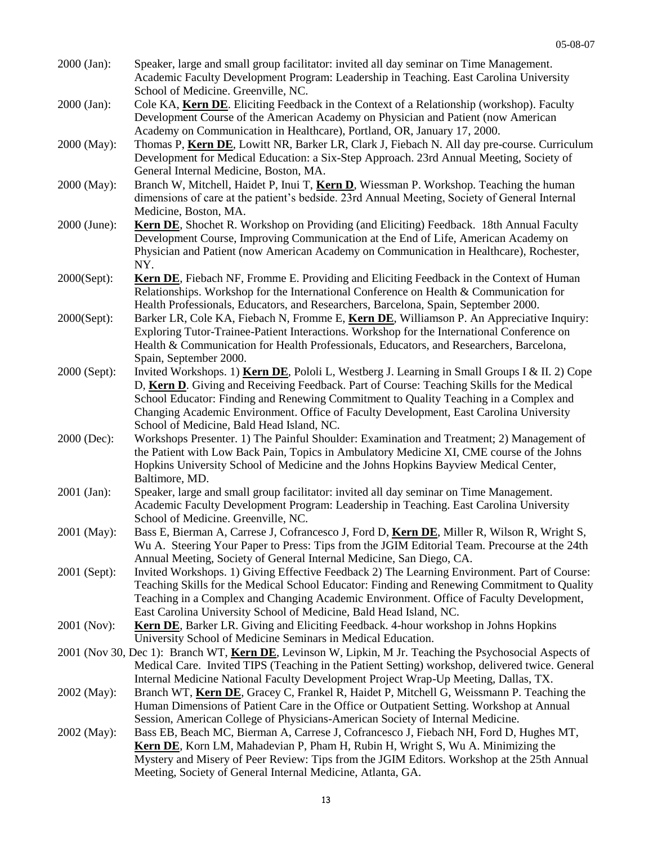| 2000 (Jan):  | Speaker, large and small group facilitator: invited all day seminar on Time Management.<br>Academic Faculty Development Program: Leadership in Teaching. East Carolina University<br>School of Medicine. Greenville, NC.                                                                                                                                                                                                   |
|--------------|----------------------------------------------------------------------------------------------------------------------------------------------------------------------------------------------------------------------------------------------------------------------------------------------------------------------------------------------------------------------------------------------------------------------------|
| 2000 (Jan):  | Cole KA, <b>Kern DE</b> . Eliciting Feedback in the Context of a Relationship (workshop). Faculty<br>Development Course of the American Academy on Physician and Patient (now American<br>Academy on Communication in Healthcare), Portland, OR, January 17, 2000.                                                                                                                                                         |
| 2000 (May):  | Thomas P, Kern DE, Lowitt NR, Barker LR, Clark J, Fiebach N. All day pre-course. Curriculum<br>Development for Medical Education: a Six-Step Approach. 23rd Annual Meeting, Society of<br>General Internal Medicine, Boston, MA.                                                                                                                                                                                           |
| 2000 (May):  | Branch W, Mitchell, Haidet P, Inui T, Kern D, Wiessman P. Workshop. Teaching the human<br>dimensions of care at the patient's bedside. 23rd Annual Meeting, Society of General Internal<br>Medicine, Boston, MA.                                                                                                                                                                                                           |
| 2000 (June): | Kern DE, Shochet R. Workshop on Providing (and Eliciting) Feedback. 18th Annual Faculty<br>Development Course, Improving Communication at the End of Life, American Academy on<br>Physician and Patient (now American Academy on Communication in Healthcare), Rochester,<br>NY.                                                                                                                                           |
| 2000(Sept):  | <b>Kern DE</b> , Fiebach NF, Fromme E. Providing and Eliciting Feedback in the Context of Human<br>Relationships. Workshop for the International Conference on Health & Communication for<br>Health Professionals, Educators, and Researchers, Barcelona, Spain, September 2000.                                                                                                                                           |
| 2000(Sept):  | Barker LR, Cole KA, Fiebach N, Fromme E, Kern DE, Williamson P. An Appreciative Inquiry:<br>Exploring Tutor-Trainee-Patient Interactions. Workshop for the International Conference on<br>Health & Communication for Health Professionals, Educators, and Researchers, Barcelona,<br>Spain, September 2000.                                                                                                                |
| 2000 (Sept): | Invited Workshops. 1) Kern DE, Pololi L, Westberg J. Learning in Small Groups I & II. 2) Cope<br>D, Kern D. Giving and Receiving Feedback. Part of Course: Teaching Skills for the Medical<br>School Educator: Finding and Renewing Commitment to Quality Teaching in a Complex and<br>Changing Academic Environment. Office of Faculty Development, East Carolina University<br>School of Medicine, Bald Head Island, NC. |
| 2000 (Dec):  | Workshops Presenter. 1) The Painful Shoulder: Examination and Treatment; 2) Management of<br>the Patient with Low Back Pain, Topics in Ambulatory Medicine XI, CME course of the Johns<br>Hopkins University School of Medicine and the Johns Hopkins Bayview Medical Center,<br>Baltimore, MD.                                                                                                                            |
| 2001 (Jan):  | Speaker, large and small group facilitator: invited all day seminar on Time Management.<br>Academic Faculty Development Program: Leadership in Teaching. East Carolina University<br>School of Medicine. Greenville, NC.                                                                                                                                                                                                   |
| 2001 (May):  | Bass E, Bierman A, Carrese J, Cofrancesco J, Ford D, Kern DE, Miller R, Wilson R, Wright S,<br>Wu A. Steering Your Paper to Press: Tips from the JGIM Editorial Team. Precourse at the 24th<br>Annual Meeting, Society of General Internal Medicine, San Diego, CA.                                                                                                                                                        |
| 2001 (Sept): | Invited Workshops. 1) Giving Effective Feedback 2) The Learning Environment. Part of Course:<br>Teaching Skills for the Medical School Educator: Finding and Renewing Commitment to Quality<br>Teaching in a Complex and Changing Academic Environment. Office of Faculty Development,<br>East Carolina University School of Medicine, Bald Head Island, NC.                                                               |
| 2001 (Nov):  | Kern DE, Barker LR. Giving and Eliciting Feedback. 4-hour workshop in Johns Hopkins<br>University School of Medicine Seminars in Medical Education.                                                                                                                                                                                                                                                                        |
|              | 2001 (Nov 30, Dec 1): Branch WT, Kern DE, Levinson W, Lipkin, M Jr. Teaching the Psychosocial Aspects of<br>Medical Care. Invited TIPS (Teaching in the Patient Setting) workshop, delivered twice. General<br>Internal Medicine National Faculty Development Project Wrap-Up Meeting, Dallas, TX.                                                                                                                         |
| 2002 (May):  | Branch WT, Kern DE, Gracey C, Frankel R, Haidet P, Mitchell G, Weissmann P. Teaching the<br>Human Dimensions of Patient Care in the Office or Outpatient Setting. Workshop at Annual<br>Session, American College of Physicians-American Society of Internal Medicine.                                                                                                                                                     |
| 2002 (May):  | Bass EB, Beach MC, Bierman A, Carrese J, Cofrancesco J, Fiebach NH, Ford D, Hughes MT,<br>Kern DE, Korn LM, Mahadevian P, Pham H, Rubin H, Wright S, Wu A. Minimizing the<br>Mystery and Misery of Peer Review: Tips from the JGIM Editors. Workshop at the 25th Annual<br>Meeting, Society of General Internal Medicine, Atlanta, GA.                                                                                     |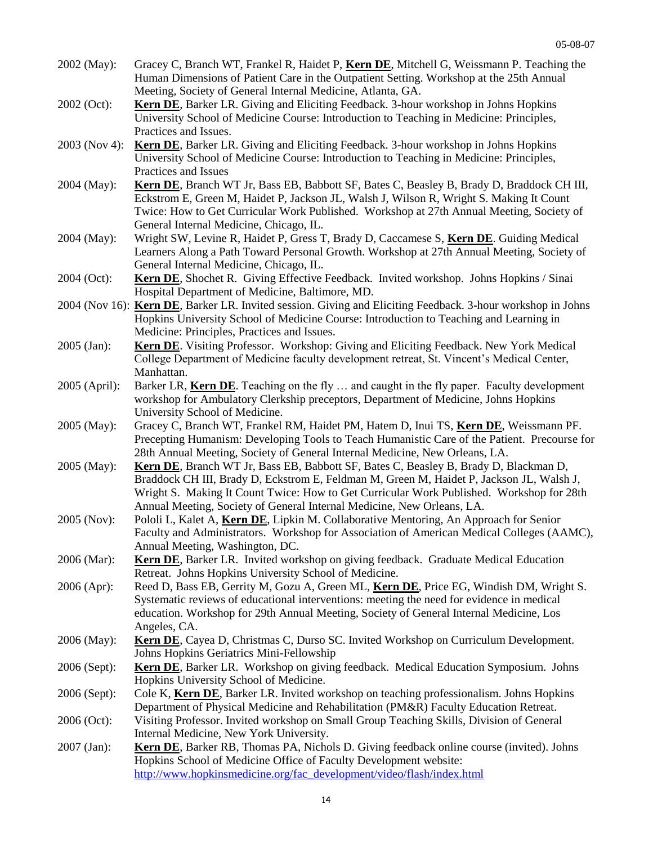| 2002 (May):   | Gracey C, Branch WT, Frankel R, Haidet P, Kern DE, Mitchell G, Weissmann P. Teaching the<br>Human Dimensions of Patient Care in the Outpatient Setting. Workshop at the 25th Annual<br>Meeting, Society of General Internal Medicine, Atlanta, GA.                               |
|---------------|----------------------------------------------------------------------------------------------------------------------------------------------------------------------------------------------------------------------------------------------------------------------------------|
| 2002 (Oct):   | Kern DE, Barker LR. Giving and Eliciting Feedback. 3-hour workshop in Johns Hopkins<br>University School of Medicine Course: Introduction to Teaching in Medicine: Principles,                                                                                                   |
|               | Practices and Issues.                                                                                                                                                                                                                                                            |
| 2003 (Nov 4): | <b>Kern DE</b> , Barker LR. Giving and Eliciting Feedback. 3-hour workshop in Johns Hopkins                                                                                                                                                                                      |
|               | University School of Medicine Course: Introduction to Teaching in Medicine: Principles,                                                                                                                                                                                          |
|               | Practices and Issues                                                                                                                                                                                                                                                             |
| 2004 (May):   | Kern DE, Branch WT Jr, Bass EB, Babbott SF, Bates C, Beasley B, Brady D, Braddock CH III,<br>Eckstrom E, Green M, Haidet P, Jackson JL, Walsh J, Wilson R, Wright S. Making It Count<br>Twice: How to Get Curricular Work Published. Workshop at 27th Annual Meeting, Society of |
|               | General Internal Medicine, Chicago, IL.                                                                                                                                                                                                                                          |
| 2004 (May):   | Wright SW, Levine R, Haidet P, Gress T, Brady D, Caccamese S, Kern DE. Guiding Medical                                                                                                                                                                                           |
|               | Learners Along a Path Toward Personal Growth. Workshop at 27th Annual Meeting, Society of                                                                                                                                                                                        |
|               | General Internal Medicine, Chicago, IL.                                                                                                                                                                                                                                          |
| 2004 (Oct):   | Kern DE, Shochet R. Giving Effective Feedback. Invited workshop. Johns Hopkins / Sinai<br>Hospital Department of Medicine, Baltimore, MD.                                                                                                                                        |
|               | 2004 (Nov 16): Kern DE, Barker LR. Invited session. Giving and Eliciting Feedback. 3-hour workshop in Johns<br>Hopkins University School of Medicine Course: Introduction to Teaching and Learning in<br>Medicine: Principles, Practices and Issues.                             |
| 2005 (Jan):   | Kern DE. Visiting Professor. Workshop: Giving and Eliciting Feedback. New York Medical                                                                                                                                                                                           |
|               | College Department of Medicine faculty development retreat, St. Vincent's Medical Center,<br>Manhattan.                                                                                                                                                                          |
| 2005 (April): | Barker LR, Kern DE. Teaching on the fly  and caught in the fly paper. Faculty development                                                                                                                                                                                        |
|               | workshop for Ambulatory Clerkship preceptors, Department of Medicine, Johns Hopkins                                                                                                                                                                                              |
|               | University School of Medicine.                                                                                                                                                                                                                                                   |
|               |                                                                                                                                                                                                                                                                                  |
| 2005 (May):   | Gracey C, Branch WT, Frankel RM, Haidet PM, Hatem D, Inui TS, Kern DE, Weissmann PF.<br>Precepting Humanism: Developing Tools to Teach Humanistic Care of the Patient. Precourse for<br>28th Annual Meeting, Society of General Internal Medicine, New Orleans, LA.              |
| 2005 (May):   | Kern DE, Branch WT Jr, Bass EB, Babbott SF, Bates C, Beasley B, Brady D, Blackman D,                                                                                                                                                                                             |
|               | Braddock CH III, Brady D, Eckstrom E, Feldman M, Green M, Haidet P, Jackson JL, Walsh J,<br>Wright S. Making It Count Twice: How to Get Curricular Work Published. Workshop for 28th                                                                                             |
|               | Annual Meeting, Society of General Internal Medicine, New Orleans, LA.                                                                                                                                                                                                           |
| 2005 (Nov):   | Pololi L, Kalet A, Kern DE, Lipkin M. Collaborative Mentoring, An Approach for Senior<br>Faculty and Administrators. Workshop for Association of American Medical Colleges (AAMC),                                                                                               |
|               | Annual Meeting, Washington, DC.                                                                                                                                                                                                                                                  |
| 2006 (Mar):   | <b>Kern DE</b> , Barker LR. Invited workshop on giving feedback. Graduate Medical Education<br>Retreat. Johns Hopkins University School of Medicine.                                                                                                                             |
| $2006$ (Apr): | Reed D, Bass EB, Gerrity M, Gozu A, Green ML, Kern DE, Price EG, Windish DM, Wright S.                                                                                                                                                                                           |
|               | Systematic reviews of educational interventions: meeting the need for evidence in medical<br>education. Workshop for 29th Annual Meeting, Society of General Internal Medicine, Los                                                                                              |
|               | Angeles, CA.                                                                                                                                                                                                                                                                     |
| 2006 (May):   | <b>Kern DE</b> , Cayea D, Christmas C, Durso SC. Invited Workshop on Curriculum Development.<br>Johns Hopkins Geriatrics Mini-Fellowship                                                                                                                                         |
| 2006 (Sept):  | Kern DE, Barker LR. Workshop on giving feedback. Medical Education Symposium. Johns<br>Hopkins University School of Medicine.                                                                                                                                                    |
| 2006 (Sept):  | Cole K, Kern DE, Barker LR. Invited workshop on teaching professionalism. Johns Hopkins                                                                                                                                                                                          |
|               | Department of Physical Medicine and Rehabilitation (PM&R) Faculty Education Retreat.                                                                                                                                                                                             |
| 2006 (Oct):   | Visiting Professor. Invited workshop on Small Group Teaching Skills, Division of General                                                                                                                                                                                         |
|               | Internal Medicine, New York University.                                                                                                                                                                                                                                          |
| 2007 (Jan):   | Kern DE, Barker RB, Thomas PA, Nichols D. Giving feedback online course (invited). Johns                                                                                                                                                                                         |
|               | Hopkins School of Medicine Office of Faculty Development website:                                                                                                                                                                                                                |
|               | http://www.hopkinsmedicine.org/fac_development/video/flash/index.html                                                                                                                                                                                                            |
|               |                                                                                                                                                                                                                                                                                  |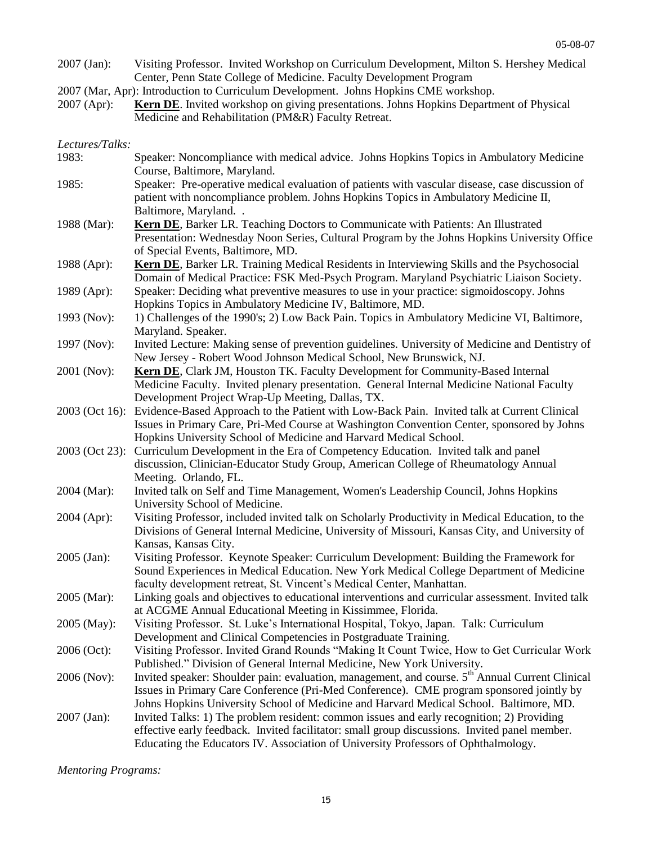- 2007 (Jan): Visiting Professor. Invited Workshop on Curriculum Development, Milton S. Hershey Medical Center, Penn State College of Medicine. Faculty Development Program
- 2007 (Mar, Apr): Introduction to Curriculum Development. Johns Hopkins CME workshop.
- 2007 (Apr): **Kern DE**. Invited workshop on giving presentations. Johns Hopkins Department of Physical Medicine and Rehabilitation (PM&R) Faculty Retreat.

#### *Lectures/Talks:*

1983: Speaker: Noncompliance with medical advice. Johns Hopkins Topics in Ambulatory Medicine Course, Baltimore, Maryland. 1985: Speaker: Pre-operative medical evaluation of patients with vascular disease, case discussion of patient with noncompliance problem. Johns Hopkins Topics in Ambulatory Medicine II, Baltimore, Maryland. . 1988 (Mar): **Kern DE**, Barker LR. Teaching Doctors to Communicate with Patients: An Illustrated Presentation: Wednesday Noon Series, Cultural Program by the Johns Hopkins University Office of Special Events, Baltimore, MD. 1988 (Apr): **Kern DE**, Barker LR. Training Medical Residents in Interviewing Skills and the Psychosocial Domain of Medical Practice: FSK Med-Psych Program. Maryland Psychiatric Liaison Society. 1989 (Apr): Speaker: Deciding what preventive measures to use in your practice: sigmoidoscopy. Johns Hopkins Topics in Ambulatory Medicine IV, Baltimore, MD. 1993 (Nov): 1) Challenges of the 1990's; 2) Low Back Pain. Topics in Ambulatory Medicine VI, Baltimore, Maryland. Speaker. 1997 (Nov): Invited Lecture: Making sense of prevention guidelines. University of Medicine and Dentistry of New Jersey - Robert Wood Johnson Medical School, New Brunswick, NJ. 2001 (Nov): **Kern DE**, Clark JM, Houston TK. Faculty Development for Community-Based Internal Medicine Faculty. Invited plenary presentation. General Internal Medicine National Faculty Development Project Wrap-Up Meeting, Dallas, TX. 2003 (Oct 16): Evidence-Based Approach to the Patient with Low-Back Pain. Invited talk at Current Clinical Issues in Primary Care, Pri-Med Course at Washington Convention Center, sponsored by Johns Hopkins University School of Medicine and Harvard Medical School. 2003 (Oct 23): Curriculum Development in the Era of Competency Education. Invited talk and panel discussion, Clinician-Educator Study Group, American College of Rheumatology Annual Meeting. Orlando, FL. 2004 (Mar): Invited talk on Self and Time Management, Women's Leadership Council, Johns Hopkins University School of Medicine. 2004 (Apr): Visiting Professor, included invited talk on Scholarly Productivity in Medical Education, to the Divisions of General Internal Medicine, University of Missouri, Kansas City, and University of Kansas, Kansas City. 2005 (Jan): Visiting Professor. Keynote Speaker: Curriculum Development: Building the Framework for Sound Experiences in Medical Education. New York Medical College Department of Medicine faculty development retreat, St. Vincent's Medical Center, Manhattan. 2005 (Mar): Linking goals and objectives to educational interventions and curricular assessment. Invited talk at ACGME Annual Educational Meeting in Kissimmee, Florida. 2005 (May): Visiting Professor. St. Luke's International Hospital, Tokyo, Japan. Talk: Curriculum Development and Clinical Competencies in Postgraduate Training. 2006 (Oct): Visiting Professor. Invited Grand Rounds "Making It Count Twice, How to Get Curricular Work Published." Division of General Internal Medicine, New York University. 2006 (Nov): Invited speaker: Shoulder pain: evaluation, management, and course.  $5<sup>th</sup>$  Annual Current Clinical Issues in Primary Care Conference (Pri-Med Conference). CME program sponsored jointly by Johns Hopkins University School of Medicine and Harvard Medical School. Baltimore, MD. 2007 (Jan): Invited Talks: 1) The problem resident: common issues and early recognition; 2) Providing effective early feedback. Invited facilitator: small group discussions. Invited panel member. Educating the Educators IV. Association of University Professors of Ophthalmology.

*Mentoring Programs:*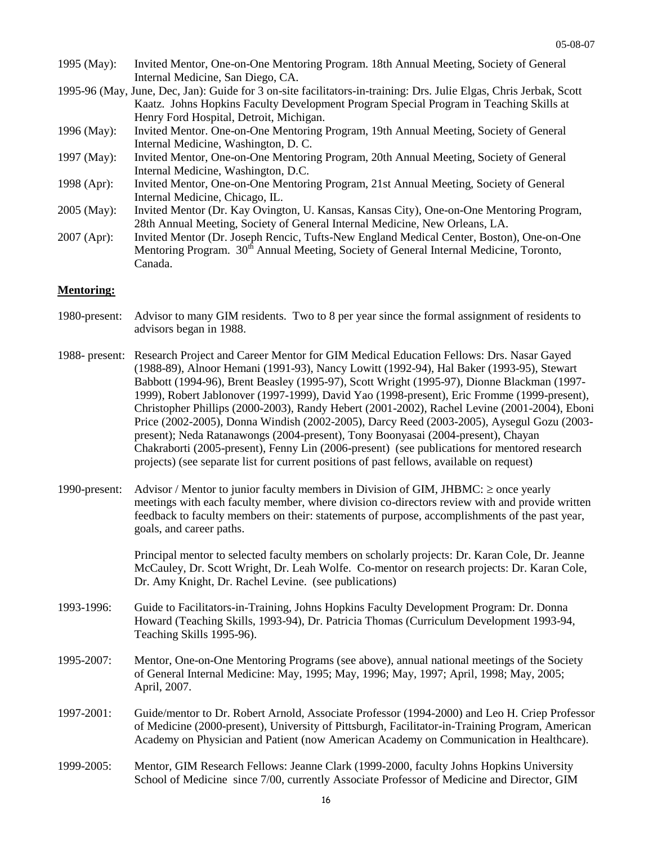- 1995 (May): Invited Mentor, One-on-One Mentoring Program. 18th Annual Meeting, Society of General Internal Medicine, San Diego, CA.
- 1995-96 (May, June, Dec, Jan): Guide for 3 on-site facilitators-in-training: Drs. Julie Elgas, Chris Jerbak, Scott Kaatz. Johns Hopkins Faculty Development Program Special Program in Teaching Skills at Henry Ford Hospital, Detroit, Michigan.
- 1996 (May): Invited Mentor. One-on-One Mentoring Program, 19th Annual Meeting, Society of General Internal Medicine, Washington, D. C.
- 1997 (May): Invited Mentor, One-on-One Mentoring Program, 20th Annual Meeting, Society of General Internal Medicine, Washington, D.C.
- 1998 (Apr): Invited Mentor, One-on-One Mentoring Program, 21st Annual Meeting, Society of General Internal Medicine, Chicago, IL.
- 2005 (May): Invited Mentor (Dr. Kay Ovington, U. Kansas, Kansas City), One-on-One Mentoring Program, 28th Annual Meeting, Society of General Internal Medicine, New Orleans, LA.
- 2007 (Apr): Invited Mentor (Dr. Joseph Rencic, Tufts-New England Medical Center, Boston), One-on-One Mentoring Program. 30<sup>th</sup> Annual Meeting, Society of General Internal Medicine, Toronto, Canada.

#### **Mentoring:**

- 1980-present: Advisor to many GIM residents. Two to 8 per year since the formal assignment of residents to advisors began in 1988.
- 1988- present: Research Project and Career Mentor for GIM Medical Education Fellows: Drs. Nasar Gayed (1988-89), Alnoor Hemani (1991-93), Nancy Lowitt (1992-94), Hal Baker (1993-95), Stewart Babbott (1994-96), Brent Beasley (1995-97), Scott Wright (1995-97), Dionne Blackman (1997- 1999), Robert Jablonover (1997-1999), David Yao (1998-present), Eric Fromme (1999-present), Christopher Phillips (2000-2003), Randy Hebert (2001-2002), Rachel Levine (2001-2004), Eboni Price (2002-2005), Donna Windish (2002-2005), Darcy Reed (2003-2005), Aysegul Gozu (2003 present); Neda Ratanawongs (2004-present), Tony Boonyasai (2004-present), Chayan Chakraborti (2005-present), Fenny Lin (2006-present) (see publications for mentored research projects) (see separate list for current positions of past fellows, available on request)
- 1990-present: Advisor / Mentor to junior faculty members in Division of GIM, JHBMC:  $\geq$  once yearly meetings with each faculty member, where division co-directors review with and provide written feedback to faculty members on their: statements of purpose, accomplishments of the past year, goals, and career paths.

Principal mentor to selected faculty members on scholarly projects: Dr. Karan Cole, Dr. Jeanne McCauley, Dr. Scott Wright, Dr. Leah Wolfe. Co-mentor on research projects: Dr. Karan Cole, Dr. Amy Knight, Dr. Rachel Levine. (see publications)

- 1993-1996: Guide to Facilitators-in-Training, Johns Hopkins Faculty Development Program: Dr. Donna Howard (Teaching Skills, 1993-94), Dr. Patricia Thomas (Curriculum Development 1993-94, Teaching Skills 1995-96).
- 1995-2007: Mentor, One-on-One Mentoring Programs (see above), annual national meetings of the Society of General Internal Medicine: May, 1995; May, 1996; May, 1997; April, 1998; May, 2005; April, 2007.
- 1997-2001: Guide/mentor to Dr. Robert Arnold, Associate Professor (1994-2000) and Leo H. Criep Professor of Medicine (2000-present), University of Pittsburgh, Facilitator-in-Training Program, American Academy on Physician and Patient (now American Academy on Communication in Healthcare).
- 1999-2005: Mentor, GIM Research Fellows: Jeanne Clark (1999-2000, faculty Johns Hopkins University School of Medicine since 7/00, currently Associate Professor of Medicine and Director, GIM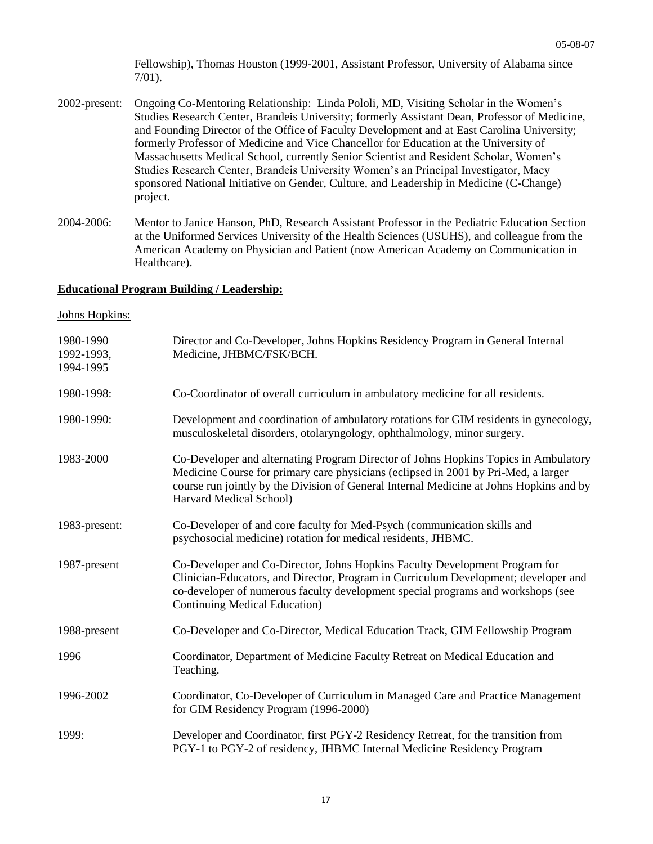Fellowship), Thomas Houston (1999-2001, Assistant Professor, University of Alabama since 7/01).

- 2002-present: Ongoing Co-Mentoring Relationship: Linda Pololi, MD, Visiting Scholar in the Women's Studies Research Center, Brandeis University; formerly Assistant Dean, Professor of Medicine, and Founding Director of the Office of Faculty Development and at East Carolina University; formerly Professor of Medicine and Vice Chancellor for Education at the University of Massachusetts Medical School, currently Senior Scientist and Resident Scholar, Women's Studies Research Center, Brandeis University Women's an Principal Investigator, Macy sponsored National Initiative on Gender, Culture, and Leadership in Medicine (C-Change) project.
- 2004-2006: Mentor to Janice Hanson, PhD, Research Assistant Professor in the Pediatric Education Section at the Uniformed Services University of the Health Sciences (USUHS), and colleague from the American Academy on Physician and Patient (now American Academy on Communication in Healthcare).

#### **Educational Program Building / Leadership:**

#### Johns Hopkins:

| 1980-1990<br>1992-1993,<br>1994-1995 | Director and Co-Developer, Johns Hopkins Residency Program in General Internal<br>Medicine, JHBMC/FSK/BCH.                                                                                                                                                                                      |
|--------------------------------------|-------------------------------------------------------------------------------------------------------------------------------------------------------------------------------------------------------------------------------------------------------------------------------------------------|
| 1980-1998:                           | Co-Coordinator of overall curriculum in ambulatory medicine for all residents.                                                                                                                                                                                                                  |
| 1980-1990:                           | Development and coordination of ambulatory rotations for GIM residents in gynecology,<br>musculoskeletal disorders, otolaryngology, ophthalmology, minor surgery.                                                                                                                               |
| 1983-2000                            | Co-Developer and alternating Program Director of Johns Hopkins Topics in Ambulatory<br>Medicine Course for primary care physicians (eclipsed in 2001 by Pri-Med, a larger<br>course run jointly by the Division of General Internal Medicine at Johns Hopkins and by<br>Harvard Medical School) |
| 1983-present:                        | Co-Developer of and core faculty for Med-Psych (communication skills and<br>psychosocial medicine) rotation for medical residents, JHBMC.                                                                                                                                                       |
| 1987-present                         | Co-Developer and Co-Director, Johns Hopkins Faculty Development Program for<br>Clinician-Educators, and Director, Program in Curriculum Development; developer and<br>co-developer of numerous faculty development special programs and workshops (see<br>Continuing Medical Education)         |
| 1988-present                         | Co-Developer and Co-Director, Medical Education Track, GIM Fellowship Program                                                                                                                                                                                                                   |
| 1996                                 | Coordinator, Department of Medicine Faculty Retreat on Medical Education and<br>Teaching.                                                                                                                                                                                                       |
| 1996-2002                            | Coordinator, Co-Developer of Curriculum in Managed Care and Practice Management<br>for GIM Residency Program (1996-2000)                                                                                                                                                                        |
| 1999:                                | Developer and Coordinator, first PGY-2 Residency Retreat, for the transition from<br>PGY-1 to PGY-2 of residency, JHBMC Internal Medicine Residency Program                                                                                                                                     |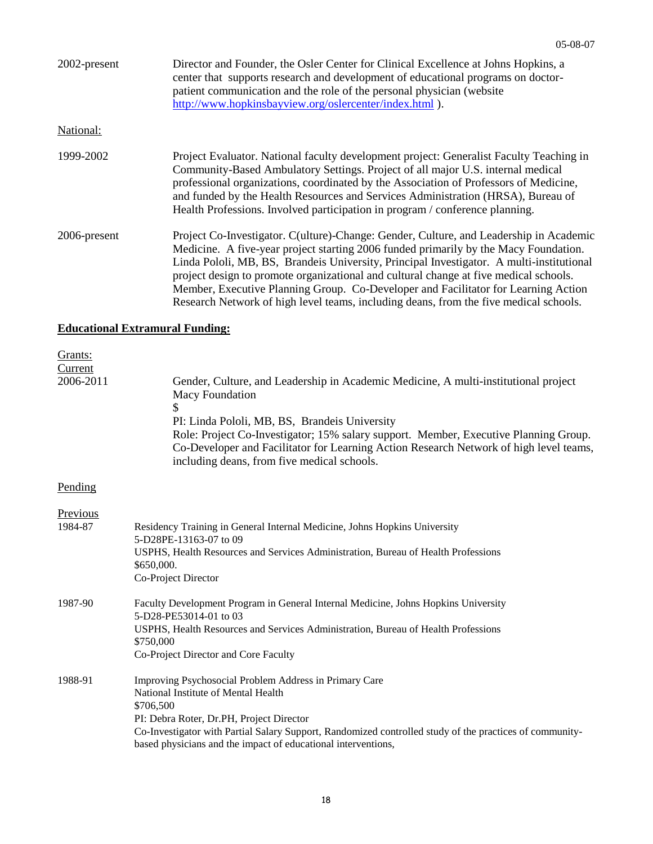| 2002-present | Director and Founder, the Osler Center for Clinical Excellence at Johns Hopkins, a<br>center that supports research and development of educational programs on doctor-<br>patient communication and the role of the personal physician (website<br>http://www.hopkinsbayview.org/oslercenter/index.html ).                                                                                                                                                                                                                                         |
|--------------|----------------------------------------------------------------------------------------------------------------------------------------------------------------------------------------------------------------------------------------------------------------------------------------------------------------------------------------------------------------------------------------------------------------------------------------------------------------------------------------------------------------------------------------------------|
| National:    |                                                                                                                                                                                                                                                                                                                                                                                                                                                                                                                                                    |
| 1999-2002    | Project Evaluator. National faculty development project: Generalist Faculty Teaching in<br>Community-Based Ambulatory Settings. Project of all major U.S. internal medical<br>professional organizations, coordinated by the Association of Professors of Medicine,<br>and funded by the Health Resources and Services Administration (HRSA), Bureau of<br>Health Professions. Involved participation in program / conference planning.                                                                                                            |
| 2006-present | Project Co-Investigator. C(ulture)-Change: Gender, Culture, and Leadership in Academic<br>Medicine. A five-year project starting 2006 funded primarily by the Macy Foundation.<br>Linda Pololi, MB, BS, Brandeis University, Principal Investigator. A multi-institutional<br>project design to promote organizational and cultural change at five medical schools.<br>Member, Executive Planning Group. Co-Developer and Facilitator for Learning Action<br>Research Network of high level teams, including deans, from the five medical schools. |

## **Educational Extramural Funding:**

| Grants:<br>Current<br>2006-2011 | Gender, Culture, and Leadership in Academic Medicine, A multi-institutional project<br><b>Macy Foundation</b><br>\$<br>PI: Linda Pololi, MB, BS, Brandeis University<br>Role: Project Co-Investigator; 15% salary support. Member, Executive Planning Group.<br>Co-Developer and Facilitator for Learning Action Research Network of high level teams,<br>including deans, from five medical schools. |
|---------------------------------|-------------------------------------------------------------------------------------------------------------------------------------------------------------------------------------------------------------------------------------------------------------------------------------------------------------------------------------------------------------------------------------------------------|
| Pending                         |                                                                                                                                                                                                                                                                                                                                                                                                       |
| Previous<br>1984-87             | Residency Training in General Internal Medicine, Johns Hopkins University<br>5-D28PE-13163-07 to 09<br>USPHS, Health Resources and Services Administration, Bureau of Health Professions<br>\$650,000.<br>Co-Project Director                                                                                                                                                                         |
| 1987-90                         | Faculty Development Program in General Internal Medicine, Johns Hopkins University<br>5-D28-PE53014-01 to 03<br>USPHS, Health Resources and Services Administration, Bureau of Health Professions<br>\$750,000<br>Co-Project Director and Core Faculty                                                                                                                                                |
| 1988-91                         | Improving Psychosocial Problem Address in Primary Care<br>National Institute of Mental Health<br>\$706,500<br>PI: Debra Roter, Dr.PH, Project Director<br>Co-Investigator with Partial Salary Support, Randomized controlled study of the practices of community-<br>based physicians and the impact of educational interventions,                                                                    |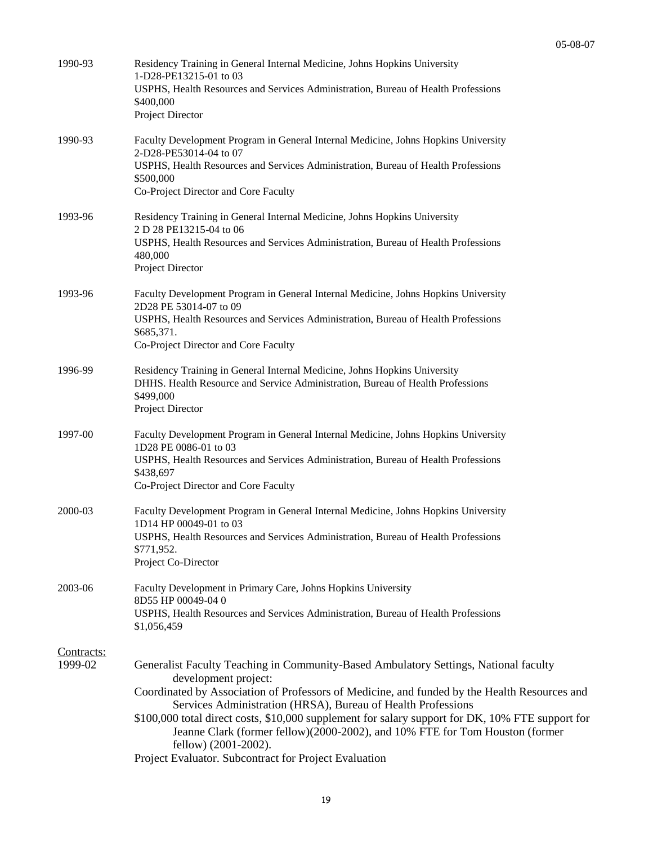| 1990-93    | Residency Training in General Internal Medicine, Johns Hopkins University<br>1-D28-PE13215-01 to 03                                                              |
|------------|------------------------------------------------------------------------------------------------------------------------------------------------------------------|
|            | USPHS, Health Resources and Services Administration, Bureau of Health Professions<br>\$400,000                                                                   |
|            | Project Director                                                                                                                                                 |
| 1990-93    | Faculty Development Program in General Internal Medicine, Johns Hopkins University                                                                               |
|            | 2-D28-PE53014-04 to 07<br>USPHS, Health Resources and Services Administration, Bureau of Health Professions                                                      |
|            | \$500,000<br>Co-Project Director and Core Faculty                                                                                                                |
|            |                                                                                                                                                                  |
| 1993-96    | Residency Training in General Internal Medicine, Johns Hopkins University<br>2 D 28 PE13215-04 to 06                                                             |
|            | USPHS, Health Resources and Services Administration, Bureau of Health Professions<br>480,000                                                                     |
|            | Project Director                                                                                                                                                 |
| 1993-96    | Faculty Development Program in General Internal Medicine, Johns Hopkins University                                                                               |
|            | 2D28 PE 53014-07 to 09<br>USPHS, Health Resources and Services Administration, Bureau of Health Professions                                                      |
|            | \$685,371.                                                                                                                                                       |
|            | Co-Project Director and Core Faculty                                                                                                                             |
| 1996-99    | Residency Training in General Internal Medicine, Johns Hopkins University<br>DHHS. Health Resource and Service Administration, Bureau of Health Professions      |
|            | \$499,000                                                                                                                                                        |
|            | Project Director                                                                                                                                                 |
| 1997-00    | Faculty Development Program in General Internal Medicine, Johns Hopkins University<br>1D28 PE 0086-01 to 03                                                      |
|            | USPHS, Health Resources and Services Administration, Bureau of Health Professions                                                                                |
|            | \$438,697<br>Co-Project Director and Core Faculty                                                                                                                |
|            |                                                                                                                                                                  |
| 2000-03    | Faculty Development Program in General Internal Medicine, Johns Hopkins University<br>1D14 HP 00049-01 to 03                                                     |
|            | USPHS, Health Resources and Services Administration, Bureau of Health Professions<br>\$771,952.                                                                  |
|            | Project Co-Director                                                                                                                                              |
| 2003-06    | Faculty Development in Primary Care, Johns Hopkins University                                                                                                    |
|            | 8D55 HP 00049-04 0<br>USPHS, Health Resources and Services Administration, Bureau of Health Professions                                                          |
|            | \$1,056,459                                                                                                                                                      |
| Contracts: |                                                                                                                                                                  |
| 1999-02    | Generalist Faculty Teaching in Community-Based Ambulatory Settings, National faculty<br>development project:                                                     |
|            | Coordinated by Association of Professors of Medicine, and funded by the Health Resources and                                                                     |
|            | Services Administration (HRSA), Bureau of Health Professions<br>\$100,000 total direct costs, \$10,000 supplement for salary support for DK, 10% FTE support for |
|            | Jeanne Clark (former fellow)(2000-2002), and 10% FTE for Tom Houston (former                                                                                     |
|            | fellow) (2001-2002).<br>Project Evaluator. Subcontract for Project Evaluation                                                                                    |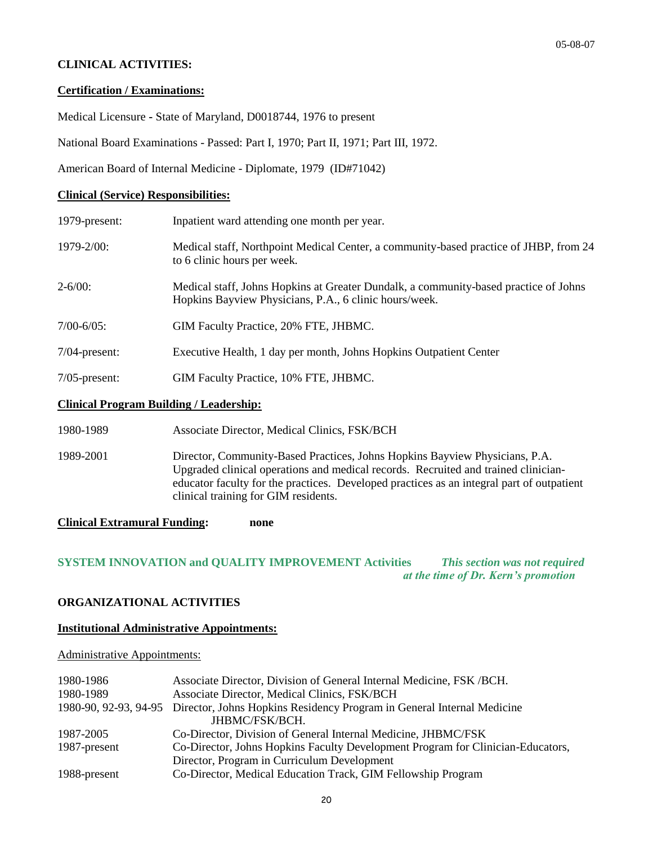## **CLINICAL ACTIVITIES:**

#### **Certification / Examinations:**

Medical Licensure **-** State of Maryland, D0018744, 1976 to present

National Board Examinations - Passed: Part I, 1970; Part II, 1971; Part III, 1972.

American Board of Internal Medicine - Diplomate, 1979 (ID#71042)

#### **Clinical (Service) Responsibilities:**

| 1979-present:                                  | Inpatient ward attending one month per year.                                                                                                   |
|------------------------------------------------|------------------------------------------------------------------------------------------------------------------------------------------------|
| $1979 - 2/00$ :                                | Medical staff, Northpoint Medical Center, a community-based practice of JHBP, from 24<br>to 6 clinic hours per week.                           |
| $2 - 6/00$                                     | Medical staff, Johns Hopkins at Greater Dundalk, a community-based practice of Johns<br>Hopkins Bayview Physicians, P.A., 6 clinic hours/week. |
| $7/00 - 6/05$ :                                | GIM Faculty Practice, 20% FTE, JHBMC.                                                                                                          |
| $7/04$ -present:                               | Executive Health, 1 day per month, Johns Hopkins Outpatient Center                                                                             |
| $7/05$ -present:                               | GIM Faculty Practice, 10% FTE, JHBMC.                                                                                                          |
| <b>Clinical Program Building / Leadership:</b> |                                                                                                                                                |

1980-1989 Associate Director, Medical Clinics, FSK/BCH

1989-2001 Director, Community-Based Practices, Johns Hopkins Bayview Physicians, P.A. Upgraded clinical operations and medical records. Recruited and trained clinicianeducator faculty for the practices. Developed practices as an integral part of outpatient clinical training for GIM residents.

#### **Clinical Extramural Funding: none**

## **SYSTEM INNOVATION and QUALITY IMPROVEMENT Activities** *This section was not required at the time of Dr. Kern's promotion*

#### **ORGANIZATIONAL ACTIVITIES**

#### **Institutional Administrative Appointments:**

#### Administrative Appointments:

| 1980-1986    | Associate Director, Division of General Internal Medicine, FSK/BCH.                          |
|--------------|----------------------------------------------------------------------------------------------|
| 1980-1989    | Associate Director, Medical Clinics, FSK/BCH                                                 |
|              | 1980-90, 92-93, 94-95 Director, Johns Hopkins Residency Program in General Internal Medicine |
|              | JHBMC/FSK/BCH.                                                                               |
| 1987-2005    | Co-Director, Division of General Internal Medicine, JHBMC/FSK                                |
| 1987-present | Co-Director, Johns Hopkins Faculty Development Program for Clinician-Educators,              |
|              | Director, Program in Curriculum Development                                                  |
| 1988-present | Co-Director, Medical Education Track, GIM Fellowship Program                                 |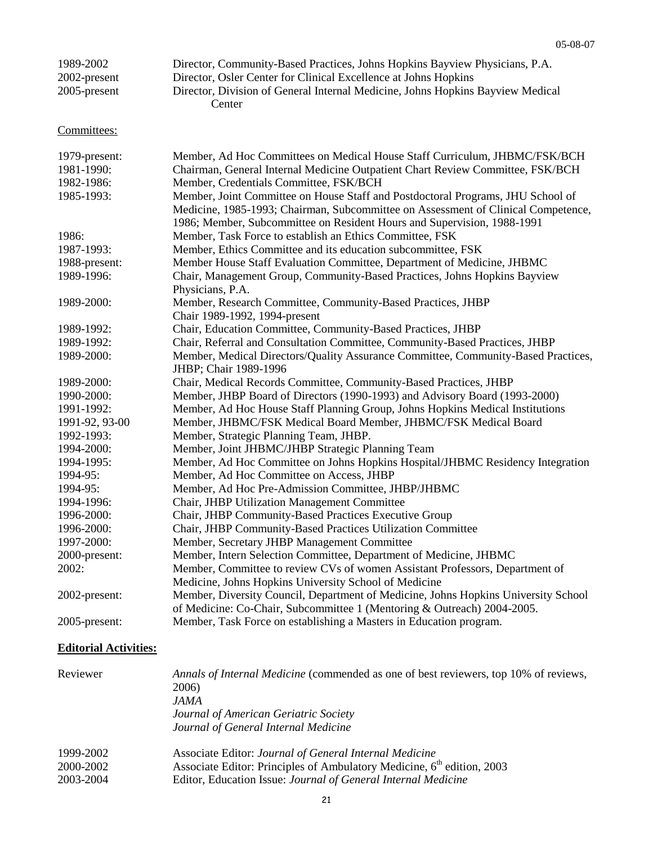| 1989-2002       | Director, Community-Based Practices, Johns Hopkins Bayview Physicians, P.A.              |
|-----------------|------------------------------------------------------------------------------------------|
| 2002-present    | Director, Osler Center for Clinical Excellence at Johns Hopkins                          |
| $2005$ -present | Director, Division of General Internal Medicine, Johns Hopkins Bayview Medical<br>Center |

Committees:

| 1979-present:<br>1981-1990:<br>1982-1986: | Member, Ad Hoc Committees on Medical House Staff Curriculum, JHBMC/FSK/BCH<br>Chairman, General Internal Medicine Outpatient Chart Review Committee, FSK/BCH<br>Member, Credentials Committee, FSK/BCH                                          |
|-------------------------------------------|-------------------------------------------------------------------------------------------------------------------------------------------------------------------------------------------------------------------------------------------------|
| 1985-1993:                                | Member, Joint Committee on House Staff and Postdoctoral Programs, JHU School of<br>Medicine, 1985-1993; Chairman, Subcommittee on Assessment of Clinical Competence,<br>1986; Member, Subcommittee on Resident Hours and Supervision, 1988-1991 |
| 1986:                                     | Member, Task Force to establish an Ethics Committee, FSK                                                                                                                                                                                        |
| 1987-1993:                                | Member, Ethics Committee and its education subcommittee, FSK                                                                                                                                                                                    |
| 1988-present:                             | Member House Staff Evaluation Committee, Department of Medicine, JHBMC                                                                                                                                                                          |
| 1989-1996:                                | Chair, Management Group, Community-Based Practices, Johns Hopkins Bayview<br>Physicians, P.A.                                                                                                                                                   |
| 1989-2000:                                | Member, Research Committee, Community-Based Practices, JHBP<br>Chair 1989-1992, 1994-present                                                                                                                                                    |
| 1989-1992:                                | Chair, Education Committee, Community-Based Practices, JHBP                                                                                                                                                                                     |
| 1989-1992:                                | Chair, Referral and Consultation Committee, Community-Based Practices, JHBP                                                                                                                                                                     |
| 1989-2000:                                | Member, Medical Directors/Quality Assurance Committee, Community-Based Practices,<br>JHBP; Chair 1989-1996                                                                                                                                      |
| 1989-2000:                                | Chair, Medical Records Committee, Community-Based Practices, JHBP                                                                                                                                                                               |
| 1990-2000:                                | Member, JHBP Board of Directors (1990-1993) and Advisory Board (1993-2000)                                                                                                                                                                      |
| 1991-1992:                                | Member, Ad Hoc House Staff Planning Group, Johns Hopkins Medical Institutions                                                                                                                                                                   |
| 1991-92, 93-00                            | Member, JHBMC/FSK Medical Board Member, JHBMC/FSK Medical Board                                                                                                                                                                                 |
| 1992-1993:                                | Member, Strategic Planning Team, JHBP.                                                                                                                                                                                                          |
| 1994-2000:                                | Member, Joint JHBMC/JHBP Strategic Planning Team                                                                                                                                                                                                |
| 1994-1995:                                | Member, Ad Hoc Committee on Johns Hopkins Hospital/JHBMC Residency Integration                                                                                                                                                                  |
| 1994-95:                                  | Member, Ad Hoc Committee on Access, JHBP                                                                                                                                                                                                        |
| 1994-95:                                  | Member, Ad Hoc Pre-Admission Committee, JHBP/JHBMC                                                                                                                                                                                              |
| 1994-1996:                                | Chair, JHBP Utilization Management Committee                                                                                                                                                                                                    |
| 1996-2000:                                | Chair, JHBP Community-Based Practices Executive Group                                                                                                                                                                                           |
| 1996-2000:                                | Chair, JHBP Community-Based Practices Utilization Committee                                                                                                                                                                                     |
| 1997-2000:                                | Member, Secretary JHBP Management Committee                                                                                                                                                                                                     |
| 2000-present:                             | Member, Intern Selection Committee, Department of Medicine, JHBMC                                                                                                                                                                               |
| 2002:                                     | Member, Committee to review CVs of women Assistant Professors, Department of                                                                                                                                                                    |
|                                           | Medicine, Johns Hopkins University School of Medicine                                                                                                                                                                                           |
| 2002-present:                             | Member, Diversity Council, Department of Medicine, Johns Hopkins University School<br>of Medicine: Co-Chair, Subcommittee 1 (Mentoring & Outreach) 2004-2005.                                                                                   |
| 2005-present:                             | Member, Task Force on establishing a Masters in Education program.                                                                                                                                                                              |

## **Editorial Activities:**

| Reviewer  | Annals of Internal Medicine (commended as one of best reviewers, top 10% of reviews,<br>2006) |
|-----------|-----------------------------------------------------------------------------------------------|
|           | JAMA.<br>Journal of American Geriatric Society<br>Journal of General Internal Medicine        |
| 1999-2002 | Associate Editor: Journal of General Internal Medicine                                        |
| 2000-2002 | Associate Editor: Principles of Ambulatory Medicine, 6 <sup>th</sup> edition, 2003            |
| 2003-2004 | Editor, Education Issue: Journal of General Internal Medicine                                 |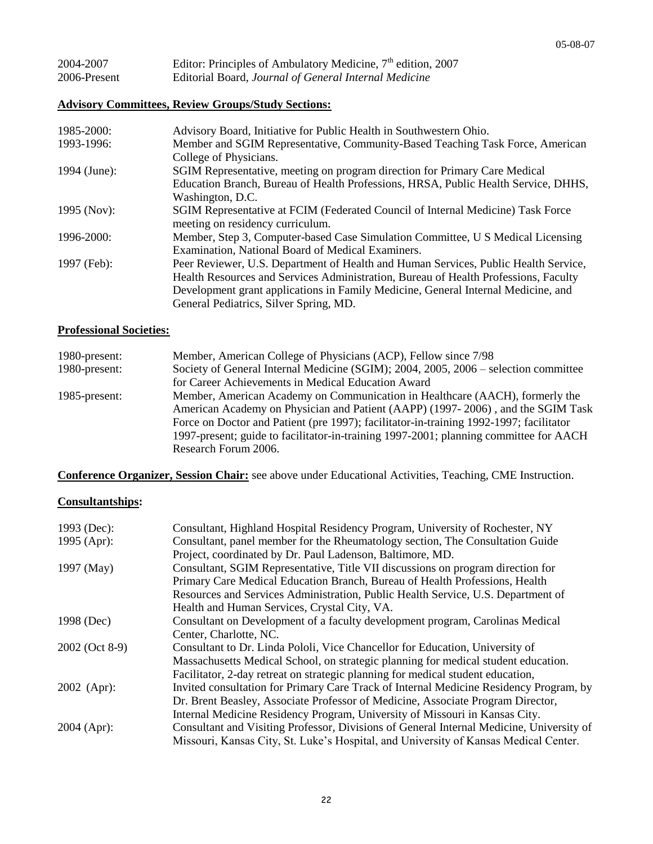| 2004-2007    | Editor: Principles of Ambulatory Medicine, $7th$ edition, 2007 |
|--------------|----------------------------------------------------------------|
| 2006-Present | Editorial Board, Journal of General Internal Medicine          |

## **Advisory Committees, Review Groups/Study Sections:**

| 1985-2000:   | Advisory Board, Initiative for Public Health in Southwestern Ohio.                  |
|--------------|-------------------------------------------------------------------------------------|
| 1993-1996:   | Member and SGIM Representative, Community-Based Teaching Task Force, American       |
|              | College of Physicians.                                                              |
| 1994 (June): | SGIM Representative, meeting on program direction for Primary Care Medical          |
|              | Education Branch, Bureau of Health Professions, HRSA, Public Health Service, DHHS,  |
|              | Washington, D.C.                                                                    |
| 1995 (Nov):  | SGIM Representative at FCIM (Federated Council of Internal Medicine) Task Force     |
|              | meeting on residency curriculum.                                                    |
| 1996-2000:   | Member, Step 3, Computer-based Case Simulation Committee, U S Medical Licensing     |
|              | Examination, National Board of Medical Examiners.                                   |
| 1997 (Feb):  | Peer Reviewer, U.S. Department of Health and Human Services, Public Health Service, |
|              | Health Resources and Services Administration, Bureau of Health Professions, Faculty |
|              | Development grant applications in Family Medicine, General Internal Medicine, and   |
|              | General Pediatrics, Silver Spring, MD.                                              |

#### **Professional Societies:**

| 1980-present: | Member, American College of Physicians (ACP), Fellow since 7/98                        |
|---------------|----------------------------------------------------------------------------------------|
| 1980-present: | Society of General Internal Medicine (SGIM); 2004, 2005, 2006 – selection committee    |
|               | for Career Achievements in Medical Education Award                                     |
| 1985-present: | Member, American Academy on Communication in Healthcare (AACH), formerly the           |
|               | American Academy on Physician and Patient (AAPP) (1997-2006), and the SGIM Task        |
|               | Force on Doctor and Patient (pre 1997); facilitator-in-training 1992-1997; facilitator |
|               | 1997-present; guide to facilitator-in-training 1997-2001; planning committee for AACH  |
|               | Research Forum 2006.                                                                   |

**Conference Organizer, Session Chair:** see above under Educational Activities, Teaching, CME Instruction.

## **Consultantships:**

| 1993 (Dec):    | Consultant, Highland Hospital Residency Program, University of Rochester, NY             |
|----------------|------------------------------------------------------------------------------------------|
| 1995 (Apr):    | Consultant, panel member for the Rheumatology section, The Consultation Guide            |
|                | Project, coordinated by Dr. Paul Ladenson, Baltimore, MD.                                |
| 1997 (May)     | Consultant, SGIM Representative, Title VII discussions on program direction for          |
|                | Primary Care Medical Education Branch, Bureau of Health Professions, Health              |
|                | Resources and Services Administration, Public Health Service, U.S. Department of         |
|                | Health and Human Services, Crystal City, VA.                                             |
| 1998 (Dec)     | Consultant on Development of a faculty development program, Carolinas Medical            |
|                | Center, Charlotte, NC.                                                                   |
| 2002 (Oct 8-9) | Consultant to Dr. Linda Pololi, Vice Chancellor for Education, University of             |
|                | Massachusetts Medical School, on strategic planning for medical student education.       |
|                | Facilitator, 2-day retreat on strategic planning for medical student education,          |
| $2002$ (Apr):  | Invited consultation for Primary Care Track of Internal Medicine Residency Program, by   |
|                | Dr. Brent Beasley, Associate Professor of Medicine, Associate Program Director,          |
|                | Internal Medicine Residency Program, University of Missouri in Kansas City.              |
| 2004 (Apr):    | Consultant and Visiting Professor, Divisions of General Internal Medicine, University of |
|                | Missouri, Kansas City, St. Luke's Hospital, and University of Kansas Medical Center.     |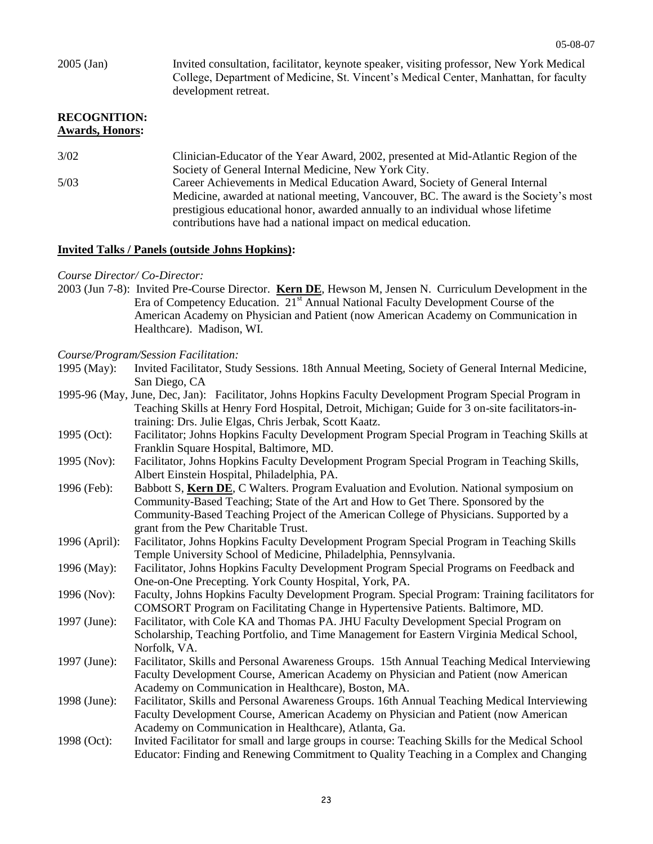2005 (Jan) Invited consultation, facilitator, keynote speaker, visiting professor, New York Medical College, Department of Medicine, St. Vincent's Medical Center, Manhattan, for faculty development retreat. **RECOGNITION: Awards, Honors:** 3/02 Clinician-Educator of the Year Award, 2002, presented at Mid-Atlantic Region of the Society of General Internal Medicine, New York City. 5/03 Career Achievements in Medical Education Award, Society of General Internal

Medicine, awarded at national meeting, Vancouver, BC. The award is the Society's most prestigious educational honor, awarded annually to an individual whose lifetime contributions have had a national impact on medical education.

#### **Invited Talks / Panels (outside Johns Hopkins):**

- *Course Director/ Co-Director:*
- 2003 (Jun 7-8): Invited Pre-Course Director. **Kern DE**, Hewson M, Jensen N. Curriculum Development in the Era of Competency Education. 21st Annual National Faculty Development Course of the American Academy on Physician and Patient (now American Academy on Communication in Healthcare). Madison, WI.

*Course/Program/Session Facilitation:*

- 1995-96 (May, June, Dec, Jan): Facilitator, Johns Hopkins Faculty Development Program Special Program in Teaching Skills at Henry Ford Hospital, Detroit, Michigan; Guide for 3 on-site facilitators-intraining: Drs. Julie Elgas, Chris Jerbak, Scott Kaatz.
- 1995 (Oct): Facilitator; Johns Hopkins Faculty Development Program Special Program in Teaching Skills at Franklin Square Hospital, Baltimore, MD.
- 1995 (Nov): Facilitator, Johns Hopkins Faculty Development Program Special Program in Teaching Skills, Albert Einstein Hospital, Philadelphia, PA.
- 1996 (Feb): Babbott S, **Kern DE**, C Walters. Program Evaluation and Evolution. National symposium on Community-Based Teaching; State of the Art and How to Get There. Sponsored by the Community-Based Teaching Project of the American College of Physicians. Supported by a grant from the Pew Charitable Trust.
- 1996 (April): Facilitator, Johns Hopkins Faculty Development Program Special Program in Teaching Skills Temple University School of Medicine, Philadelphia, Pennsylvania.
- 1996 (May): Facilitator, Johns Hopkins Faculty Development Program Special Programs on Feedback and One-on-One Precepting. York County Hospital, York, PA.
- 1996 (Nov): Faculty, Johns Hopkins Faculty Development Program. Special Program: Training facilitators for COMSORT Program on Facilitating Change in Hypertensive Patients. Baltimore, MD.
- 1997 (June): Facilitator, with Cole KA and Thomas PA. JHU Faculty Development Special Program on Scholarship, Teaching Portfolio, and Time Management for Eastern Virginia Medical School, Norfolk, VA.
- 1997 (June): Facilitator, Skills and Personal Awareness Groups. 15th Annual Teaching Medical Interviewing Faculty Development Course, American Academy on Physician and Patient (now American Academy on Communication in Healthcare), Boston, MA.
- 1998 (June): Facilitator, Skills and Personal Awareness Groups. 16th Annual Teaching Medical Interviewing Faculty Development Course, American Academy on Physician and Patient (now American Academy on Communication in Healthcare), Atlanta, Ga.
- 1998 (Oct): Invited Facilitator for small and large groups in course: Teaching Skills for the Medical School Educator: Finding and Renewing Commitment to Quality Teaching in a Complex and Changing

<sup>1995 (</sup>May): Invited Facilitator, Study Sessions. 18th Annual Meeting, Society of General Internal Medicine, San Diego, CA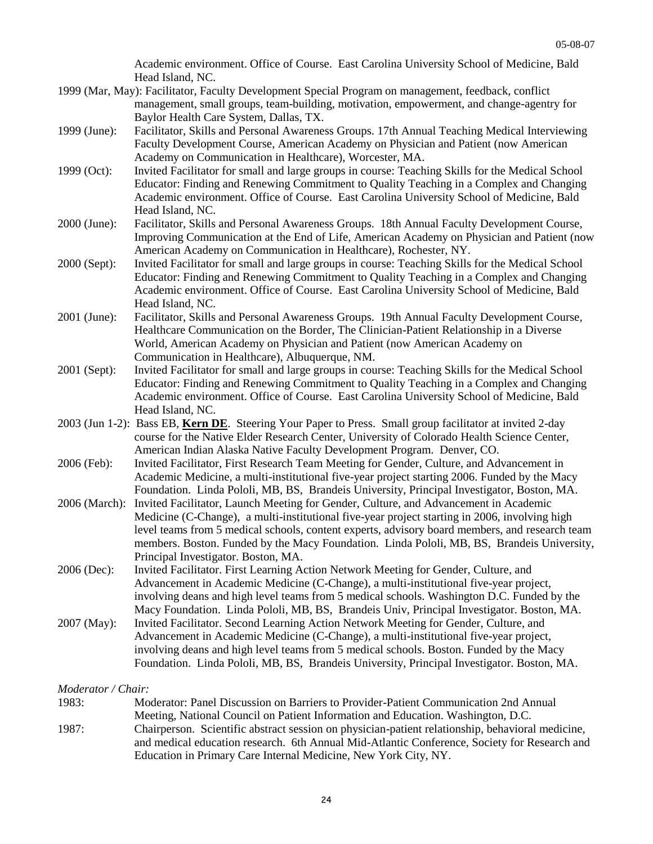Academic environment. Office of Course. East Carolina University School of Medicine, Bald Head Island, NC.

- 1999 (Mar, May): Facilitator, Faculty Development Special Program on management, feedback, conflict management, small groups, team-building, motivation, empowerment, and change-agentry for Baylor Health Care System, Dallas, TX.
- 1999 (June): Facilitator, Skills and Personal Awareness Groups. 17th Annual Teaching Medical Interviewing Faculty Development Course, American Academy on Physician and Patient (now American Academy on Communication in Healthcare), Worcester, MA.
- 1999 (Oct): Invited Facilitator for small and large groups in course: Teaching Skills for the Medical School Educator: Finding and Renewing Commitment to Quality Teaching in a Complex and Changing Academic environment. Office of Course. East Carolina University School of Medicine, Bald Head Island, NC.
- 2000 (June): Facilitator, Skills and Personal Awareness Groups. 18th Annual Faculty Development Course, Improving Communication at the End of Life, American Academy on Physician and Patient (now American Academy on Communication in Healthcare), Rochester, NY.
- 2000 (Sept): Invited Facilitator for small and large groups in course: Teaching Skills for the Medical School Educator: Finding and Renewing Commitment to Quality Teaching in a Complex and Changing Academic environment. Office of Course. East Carolina University School of Medicine, Bald Head Island, NC.
- 2001 (June): Facilitator, Skills and Personal Awareness Groups. 19th Annual Faculty Development Course, Healthcare Communication on the Border, The Clinician-Patient Relationship in a Diverse World, American Academy on Physician and Patient (now American Academy on Communication in Healthcare), Albuquerque, NM.
- 2001 (Sept): Invited Facilitator for small and large groups in course: Teaching Skills for the Medical School Educator: Finding and Renewing Commitment to Quality Teaching in a Complex and Changing Academic environment. Office of Course. East Carolina University School of Medicine, Bald Head Island, NC.
- 2003 (Jun 1-2): Bass EB, **Kern DE**. Steering Your Paper to Press. Small group facilitator at invited 2-day course for the Native Elder Research Center, University of Colorado Health Science Center, American Indian Alaska Native Faculty Development Program. Denver, CO.
- 2006 (Feb): Invited Facilitator, First Research Team Meeting for Gender, Culture, and Advancement in Academic Medicine, a multi-institutional five-year project starting 2006. Funded by the Macy Foundation. Linda Pololi, MB, BS, Brandeis University, Principal Investigator, Boston, MA.
- 2006 (March): Invited Facilitator, Launch Meeting for Gender, Culture, and Advancement in Academic Medicine (C-Change), a multi-institutional five-year project starting in 2006, involving high level teams from 5 medical schools, content experts, advisory board members, and research team members. Boston. Funded by the Macy Foundation. Linda Pololi, MB, BS, Brandeis University, Principal Investigator. Boston, MA.
- 2006 (Dec): Invited Facilitator. First Learning Action Network Meeting for Gender, Culture, and Advancement in Academic Medicine (C-Change), a multi-institutional five-year project, involving deans and high level teams from 5 medical schools. Washington D.C. Funded by the Macy Foundation. Linda Pololi, MB, BS, Brandeis Univ, Principal Investigator. Boston, MA.
- 2007 (May): Invited Facilitator. Second Learning Action Network Meeting for Gender, Culture, and Advancement in Academic Medicine (C-Change), a multi-institutional five-year project, involving deans and high level teams from 5 medical schools. Boston. Funded by the Macy Foundation. Linda Pololi, MB, BS, Brandeis University, Principal Investigator. Boston, MA.

*Moderator / Chair:*

| 1983: | Moderator: Panel Discussion on Barriers to Provider-Patient Communication 2nd Annual             |
|-------|--------------------------------------------------------------------------------------------------|
|       | Meeting, National Council on Patient Information and Education. Washington, D.C.                 |
| 1987: | Chairperson. Scientific abstract session on physician-patient relationship, behavioral medicine, |
|       | and medical education research. 6th Annual Mid-Atlantic Conference, Society for Research and     |
|       | Education in Primary Care Internal Medicine, New York City, NY.                                  |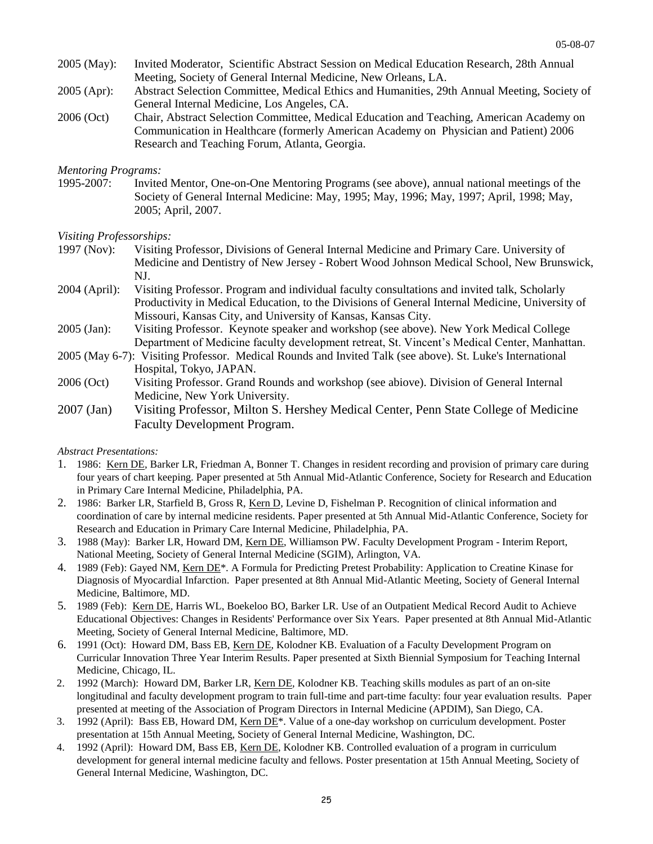- 2005 (May): Invited Moderator, Scientific Abstract Session on Medical Education Research, 28th Annual Meeting, Society of General Internal Medicine, New Orleans, LA.
- 2005 (Apr): Abstract Selection Committee, Medical Ethics and Humanities, 29th Annual Meeting, Society of General Internal Medicine, Los Angeles, CA.
- 2006 (Oct) Chair, Abstract Selection Committee, Medical Education and Teaching, American Academy on Communication in Healthcare (formerly American Academy on Physician and Patient) 2006 Research and Teaching Forum, Atlanta, Georgia.

#### *Mentoring Programs:*

1995-2007: Invited Mentor, One-on-One Mentoring Programs (see above), annual national meetings of the Society of General Internal Medicine: May, 1995; May, 1996; May, 1997; April, 1998; May, 2005; April, 2007.

# *Visiting Professorships:*

- 1997 (Nov): Visiting Professor, Divisions of General Internal Medicine and Primary Care. University of Medicine and Dentistry of New Jersey - Robert Wood Johnson Medical School, New Brunswick, NJ.
- 2004 (April): Visiting Professor. Program and individual faculty consultations and invited talk, Scholarly Productivity in Medical Education, to the Divisions of General Internal Medicine, University of Missouri, Kansas City, and University of Kansas, Kansas City.
- 2005 (Jan): Visiting Professor. Keynote speaker and workshop (see above). New York Medical College Department of Medicine faculty development retreat, St. Vincent's Medical Center, Manhattan.
- 2005 (May 6-7): Visiting Professor. Medical Rounds and Invited Talk (see above). St. Luke's International Hospital, Tokyo, JAPAN.
- 2006 (Oct) Visiting Professor. Grand Rounds and workshop (see abiove). Division of General Internal Medicine, New York University.
- 2007 (Jan) Visiting Professor, Milton S. Hershey Medical Center, Penn State College of Medicine Faculty Development Program.

#### *Abstract Presentations:*

- 1. 1986: Kern DE, Barker LR, Friedman A, Bonner T. Changes in resident recording and provision of primary care during four years of chart keeping. Paper presented at 5th Annual Mid-Atlantic Conference, Society for Research and Education in Primary Care Internal Medicine, Philadelphia, PA.
- 2. 1986: Barker LR, Starfield B, Gross R, Kern D, Levine D, Fishelman P. Recognition of clinical information and coordination of care by internal medicine residents. Paper presented at 5th Annual Mid-Atlantic Conference, Society for Research and Education in Primary Care Internal Medicine, Philadelphia, PA.
- 3. 1988 (May): Barker LR, Howard DM, Kern DE, Williamson PW. Faculty Development Program Interim Report, National Meeting, Society of General Internal Medicine (SGIM), Arlington, VA.
- 4. 1989 (Feb): Gayed NM, Kern DE\*. A Formula for Predicting Pretest Probability: Application to Creatine Kinase for Diagnosis of Myocardial Infarction. Paper presented at 8th Annual Mid-Atlantic Meeting, Society of General Internal Medicine, Baltimore, MD.
- 5. 1989 (Feb): Kern DE, Harris WL, Boekeloo BO, Barker LR. Use of an Outpatient Medical Record Audit to Achieve Educational Objectives: Changes in Residents' Performance over Six Years. Paper presented at 8th Annual Mid-Atlantic Meeting, Society of General Internal Medicine, Baltimore, MD.
- 6. 1991 (Oct): Howard DM, Bass EB, Kern DE, Kolodner KB. Evaluation of a Faculty Development Program on Curricular Innovation Three Year Interim Results. Paper presented at Sixth Biennial Symposium for Teaching Internal Medicine, Chicago, IL.
- 2. 1992 (March): Howard DM, Barker LR, Kern DE, Kolodner KB. Teaching skills modules as part of an on-site longitudinal and faculty development program to train full-time and part-time faculty: four year evaluation results. Paper presented at meeting of the Association of Program Directors in Internal Medicine (APDIM), San Diego, CA.
- 3. 1992 (April): Bass EB, Howard DM, Kern DE\*. Value of a one-day workshop on curriculum development. Poster presentation at 15th Annual Meeting, Society of General Internal Medicine, Washington, DC.
- 4. 1992 (April): Howard DM, Bass EB, Kern DE, Kolodner KB. Controlled evaluation of a program in curriculum development for general internal medicine faculty and fellows. Poster presentation at 15th Annual Meeting, Society of General Internal Medicine, Washington, DC.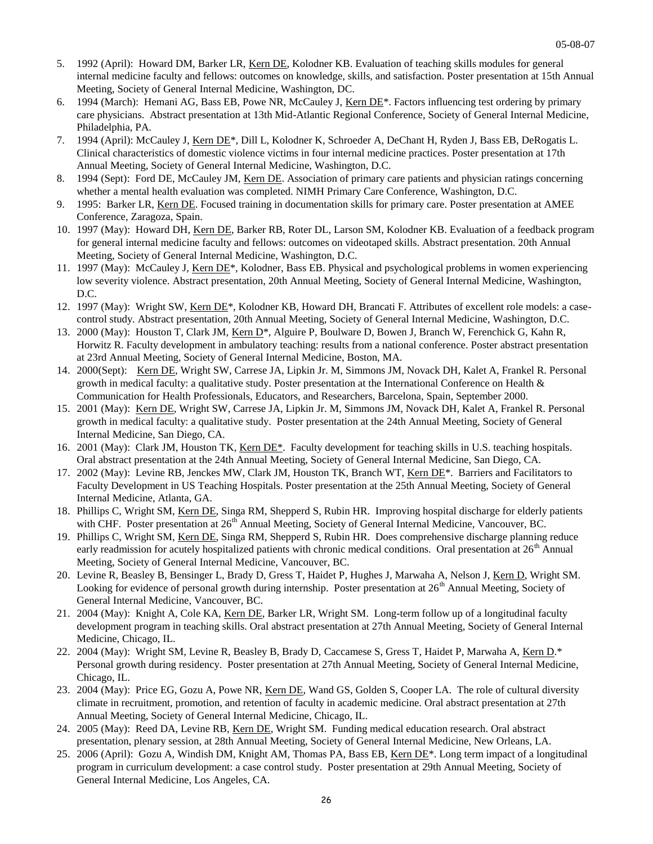- 5. 1992 (April): Howard DM, Barker LR, Kern DE, Kolodner KB. Evaluation of teaching skills modules for general internal medicine faculty and fellows: outcomes on knowledge, skills, and satisfaction. Poster presentation at 15th Annual Meeting, Society of General Internal Medicine, Washington, DC.
- 6. 1994 (March): Hemani AG, Bass EB, Powe NR, McCauley J, Kern DE<sup>\*</sup>. Factors influencing test ordering by primary care physicians. Abstract presentation at 13th Mid-Atlantic Regional Conference, Society of General Internal Medicine, Philadelphia, PA.
- 7. 1994 (April): McCauley J, Kern DE<sup>\*</sup>, Dill L, Kolodner K, Schroeder A, DeChant H, Ryden J, Bass EB, DeRogatis L. Clinical characteristics of domestic violence victims in four internal medicine practices. Poster presentation at 17th Annual Meeting, Society of General Internal Medicine, Washington, D.C.
- 8. 1994 (Sept): Ford DE, McCauley JM, Kern DE. Association of primary care patients and physician ratings concerning whether a mental health evaluation was completed. NIMH Primary Care Conference, Washington, D.C.
- 9. 1995: Barker LR, Kern DE. Focused training in documentation skills for primary care. Poster presentation at AMEE Conference, Zaragoza, Spain.
- 10. 1997 (May): Howard DH, Kern DE, Barker RB, Roter DL, Larson SM, Kolodner KB. Evaluation of a feedback program for general internal medicine faculty and fellows: outcomes on videotaped skills. Abstract presentation. 20th Annual Meeting, Society of General Internal Medicine, Washington, D.C.
- 11. 1997 (May): McCauley J, Kern DE<sup>\*</sup>, Kolodner, Bass EB. Physical and psychological problems in women experiencing low severity violence. Abstract presentation, 20th Annual Meeting, Society of General Internal Medicine, Washington, D.C.
- 12. 1997 (May): Wright SW, Kern DE\*, Kolodner KB, Howard DH, Brancati F. Attributes of excellent role models: a casecontrol study. Abstract presentation, 20th Annual Meeting, Society of General Internal Medicine, Washington, D.C.
- 13. 2000 (May): Houston T, Clark JM, Kern D<sup>\*</sup>, Alguire P, Boulware D, Bowen J, Branch W, Ferenchick G, Kahn R, Horwitz R. Faculty development in ambulatory teaching: results from a national conference. Poster abstract presentation at 23rd Annual Meeting, Society of General Internal Medicine, Boston, MA.
- 14. 2000(Sept): Kern DE, Wright SW, Carrese JA, Lipkin Jr. M, Simmons JM, Novack DH, Kalet A, Frankel R. Personal growth in medical faculty: a qualitative study. Poster presentation at the International Conference on Health  $\&$ Communication for Health Professionals, Educators, and Researchers, Barcelona, Spain, September 2000.
- 15. 2001 (May): Kern DE, Wright SW, Carrese JA, Lipkin Jr. M, Simmons JM, Novack DH, Kalet A, Frankel R. Personal growth in medical faculty: a qualitative study. Poster presentation at the 24th Annual Meeting, Society of General Internal Medicine, San Diego, CA.
- 16. 2001 (May): Clark JM, Houston TK, Kern DE\*. Faculty development for teaching skills in U.S. teaching hospitals. Oral abstract presentation at the 24th Annual Meeting, Society of General Internal Medicine, San Diego, CA.
- 17. 2002 (May): Levine RB, Jenckes MW, Clark JM, Houston TK, Branch WT, Kern DE\*. Barriers and Facilitators to Faculty Development in US Teaching Hospitals. Poster presentation at the 25th Annual Meeting, Society of General Internal Medicine, Atlanta, GA.
- 18. Phillips C, Wright SM, Kern DE, Singa RM, Shepperd S, Rubin HR. Improving hospital discharge for elderly patients with CHF. Poster presentation at  $26<sup>th</sup>$  Annual Meeting, Society of General Internal Medicine, Vancouver, BC.
- 19. Phillips C, Wright SM, Kern DE, Singa RM, Shepperd S, Rubin HR. Does comprehensive discharge planning reduce early readmission for acutely hospitalized patients with chronic medical conditions. Oral presentation at 26<sup>th</sup> Annual Meeting, Society of General Internal Medicine, Vancouver, BC.
- 20. Levine R, Beasley B, Bensinger L, Brady D, Gress T, Haidet P, Hughes J, Marwaha A, Nelson J, Kern D, Wright SM. Looking for evidence of personal growth during internship. Poster presentation at  $26<sup>th</sup>$  Annual Meeting, Society of General Internal Medicine, Vancouver, BC.
- 21. 2004 (May): Knight A, Cole KA, Kern DE, Barker LR, Wright SM. Long-term follow up of a longitudinal faculty development program in teaching skills. Oral abstract presentation at 27th Annual Meeting, Society of General Internal Medicine, Chicago, IL.
- 22. 2004 (May): Wright SM, Levine R, Beasley B, Brady D, Caccamese S, Gress T, Haidet P, Marwaha A, Kern D.\* Personal growth during residency. Poster presentation at 27th Annual Meeting, Society of General Internal Medicine, Chicago, IL.
- 23. 2004 (May): Price EG, Gozu A, Powe NR, Kern DE, Wand GS, Golden S, Cooper LA. The role of cultural diversity climate in recruitment, promotion, and retention of faculty in academic medicine. Oral abstract presentation at 27th Annual Meeting, Society of General Internal Medicine, Chicago, IL.
- 24. 2005 (May): Reed DA, Levine RB, Kern DE, Wright SM. Funding medical education research. Oral abstract presentation, plenary session, at 28th Annual Meeting, Society of General Internal Medicine, New Orleans, LA.
- 25. 2006 (April): Gozu A, Windish DM, Knight AM, Thomas PA, Bass EB, Kern DE<sup>\*</sup>. Long term impact of a longitudinal program in curriculum development: a case control study. Poster presentation at 29th Annual Meeting, Society of General Internal Medicine, Los Angeles, CA.